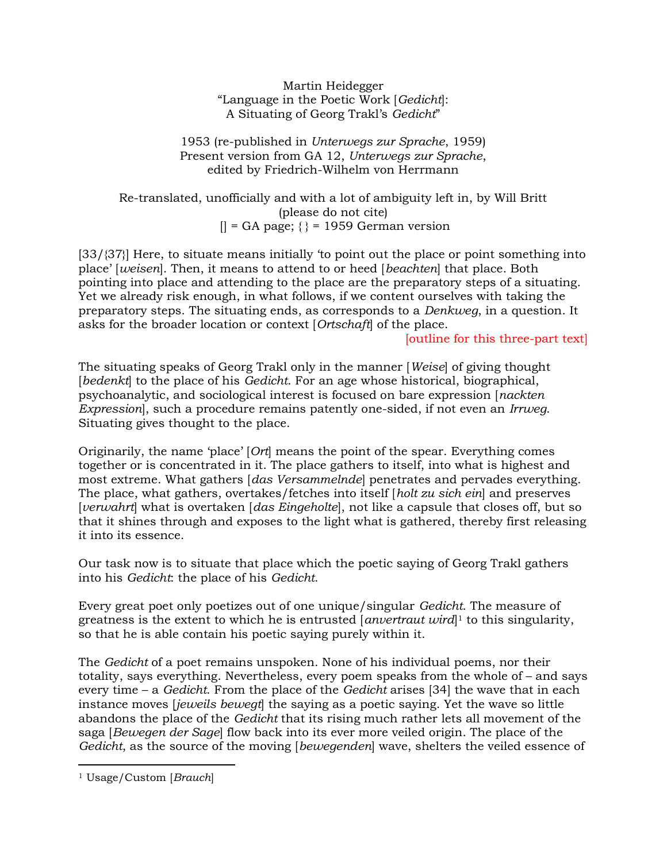Martin Heidegger "Language in the Poetic Work [Gedicht]: A Situating of Georg Trakl's Gedicht"

1953 (re-published in Unterwegs zur Sprache, 1959) Present version from GA 12, Unterwegs zur Sprache, edited by Friedrich-Wilhelm von Herrmann

Re-translated, unofficially and with a lot of ambiguity left in, by Will Britt (please do not cite)  $|$  = GA page;  $\{$  = 1959 German version

[33/{37}] Here, to situate means initially 'to point out the place or point something into place' [weisen]. Then, it means to attend to or heed [beachten] that place. Both pointing into place and attending to the place are the preparatory steps of a situating. Yet we already risk enough, in what follows, if we content ourselves with taking the preparatory steps. The situating ends, as corresponds to a Denkweg, in a question. It asks for the broader location or context [Ortschaft] of the place.

[outline for this three-part text]

The situating speaks of Georg Trakl only in the manner [Weise] of giving thought [bedenkt] to the place of his Gedicht. For an age whose historical, biographical, psychoanalytic, and sociological interest is focused on bare expression [nackten Expression, such a procedure remains patently one-sided, if not even an Irrweg. Situating gives thought to the place.

Originarily, the name 'place' [Ort] means the point of the spear. Everything comes together or is concentrated in it. The place gathers to itself, into what is highest and most extreme. What gathers [das Versammelnde] penetrates and pervades everything. The place, what gathers, overtakes/fetches into itself [holt zu sich ein] and preserves [verwahrt] what is overtaken [das Eingeholte], not like a capsule that closes off, but so that it shines through and exposes to the light what is gathered, thereby first releasing it into its essence.

Our task now is to situate that place which the poetic saying of Georg Trakl gathers into his Gedicht: the place of his Gedicht.

Every great poet only poetizes out of one unique/singular Gedicht. The measure of greatness is the extent to which he is entrusted  $[anvertu\right]$ <sup>1</sup> to this singularity, so that he is able contain his poetic saying purely within it.

The Gedicht of a poet remains unspoken. None of his individual poems, nor their totality, says everything. Nevertheless, every poem speaks from the whole of – and says every time – a Gedicht. From the place of the Gedicht arises [34] the wave that in each instance moves *lieweils bewegt* the saying as a poetic saying. Yet the wave so little abandons the place of the Gedicht that its rising much rather lets all movement of the saga [Bewegen der Sage] flow back into its ever more veiled origin. The place of the Gedicht, as the source of the moving [bewegenden] wave, shelters the veiled essence of

<sup>&</sup>lt;sup>1</sup> Usage/Custom [Brauch]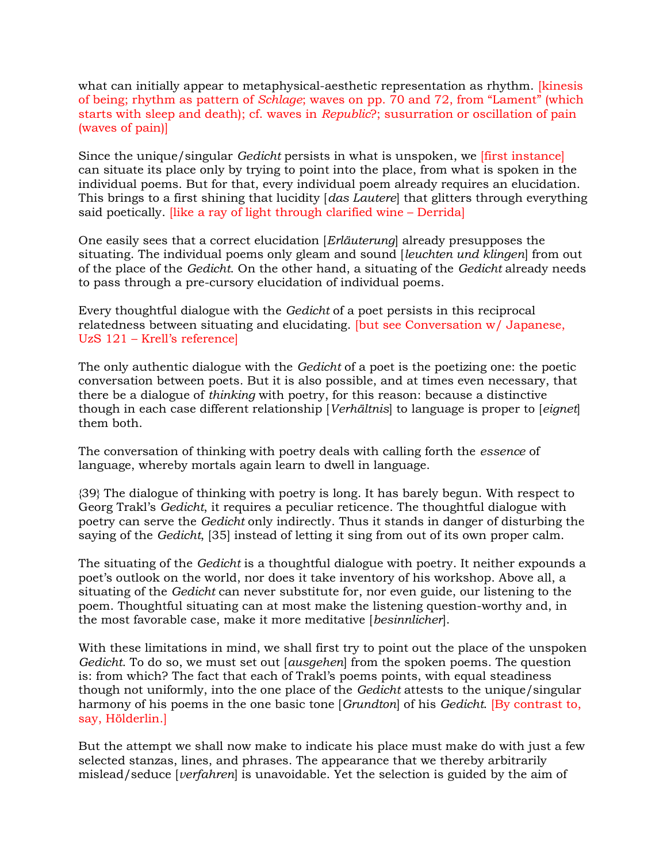what can initially appear to metaphysical-aesthetic representation as rhythm. [kinesis of being; rhythm as pattern of Schlage; waves on pp. 70 and 72, from "Lament" (which starts with sleep and death); cf. waves in Republic?; susurration or oscillation of pain (waves of pain)]

Since the unique/singular Gedicht persists in what is unspoken, we [first instance] can situate its place only by trying to point into the place, from what is spoken in the individual poems. But for that, every individual poem already requires an elucidation. This brings to a first shining that lucidity [das Lautere] that glitters through everything said poetically. [like a ray of light through clarified wine – Derrida]

One easily sees that a correct elucidation [Erläuterung] already presupposes the situating. The individual poems only gleam and sound *[leuchten und klingen]* from out of the place of the Gedicht. On the other hand, a situating of the Gedicht already needs to pass through a pre-cursory elucidation of individual poems.

Every thoughtful dialogue with the Gedicht of a poet persists in this reciprocal relatedness between situating and elucidating. [but see Conversation w/ Japanese, UzS 121 – Krell's reference]

The only authentic dialogue with the Gedicht of a poet is the poetizing one: the poetic conversation between poets. But it is also possible, and at times even necessary, that there be a dialogue of thinking with poetry, for this reason: because a distinctive though in each case different relationship [Verhältnis] to language is proper to [eignet] them both.

The conversation of thinking with poetry deals with calling forth the essence of language, whereby mortals again learn to dwell in language.

{39} The dialogue of thinking with poetry is long. It has barely begun. With respect to Georg Trakl's Gedicht, it requires a peculiar reticence. The thoughtful dialogue with poetry can serve the Gedicht only indirectly. Thus it stands in danger of disturbing the saying of the Gedicht, [35] instead of letting it sing from out of its own proper calm.

The situating of the *Gedicht* is a thoughtful dialogue with poetry. It neither expounds a poet's outlook on the world, nor does it take inventory of his workshop. Above all, a situating of the Gedicht can never substitute for, nor even guide, our listening to the poem. Thoughtful situating can at most make the listening question-worthy and, in the most favorable case, make it more meditative [besinnlicher].

With these limitations in mind, we shall first try to point out the place of the unspoken Gedicht. To do so, we must set out [ausgehen] from the spoken poems. The question is: from which? The fact that each of Trakl's poems points, with equal steadiness though not uniformly, into the one place of the Gedicht attests to the unique/singular harmony of his poems in the one basic tone [Grundton] of his Gedicht. [By contrast to, say, Hölderlin.]

But the attempt we shall now make to indicate his place must make do with just a few selected stanzas, lines, and phrases. The appearance that we thereby arbitrarily mislead/seduce [verfahren] is unavoidable. Yet the selection is guided by the aim of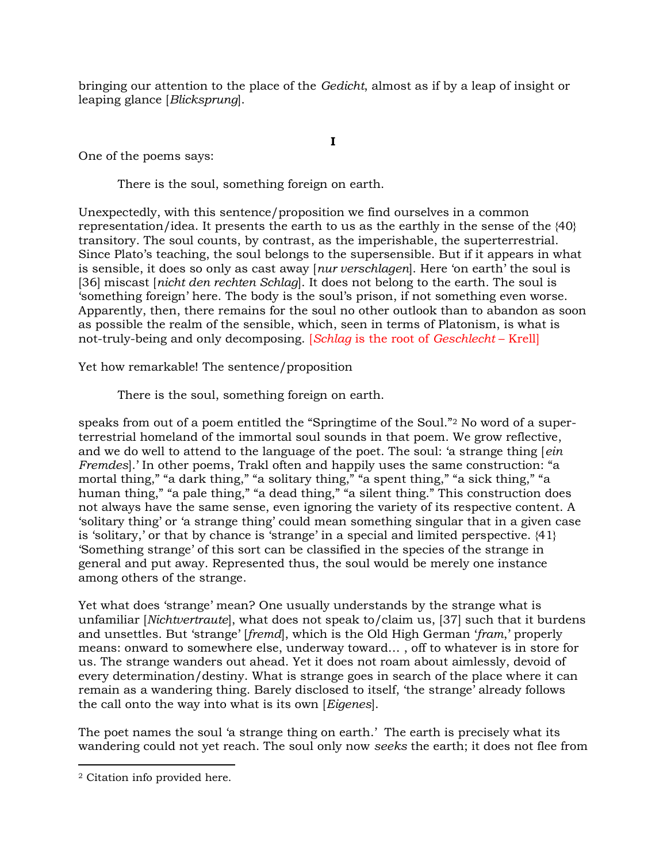bringing our attention to the place of the Gedicht, almost as if by a leap of insight or leaping glance [Blicksprung].

I

One of the poems says:

There is the soul, something foreign on earth.

Unexpectedly, with this sentence/proposition we find ourselves in a common representation/idea. It presents the earth to us as the earthly in the sense of the {40} transitory. The soul counts, by contrast, as the imperishable, the superterrestrial. Since Plato's teaching, the soul belongs to the supersensible. But if it appears in what is sensible, it does so only as cast away [nur verschlagen]. Here 'on earth' the soul is [36] miscast [nicht den rechten Schlag]. It does not belong to the earth. The soul is 'something foreign' here. The body is the soul's prison, if not something even worse. Apparently, then, there remains for the soul no other outlook than to abandon as soon as possible the realm of the sensible, which, seen in terms of Platonism, is what is not-truly-being and only decomposing. [Schlag is the root of Geschlecht – Krell]

Yet how remarkable! The sentence/proposition

There is the soul, something foreign on earth.

speaks from out of a poem entitled the "Springtime of the Soul."2 No word of a superterrestrial homeland of the immortal soul sounds in that poem. We grow reflective, and we do well to attend to the language of the poet. The soul: 'a strange thing [ein Fremdes].' In other poems, Trakl often and happily uses the same construction: "a mortal thing," "a dark thing," "a solitary thing," "a spent thing," "a sick thing," "a human thing," "a pale thing," "a dead thing," "a silent thing." This construction does not always have the same sense, even ignoring the variety of its respective content. A 'solitary thing' or 'a strange thing' could mean something singular that in a given case is 'solitary,' or that by chance is 'strange' in a special and limited perspective.  $\{41\}$ 'Something strange' of this sort can be classified in the species of the strange in general and put away. Represented thus, the soul would be merely one instance among others of the strange.

Yet what does 'strange' mean? One usually understands by the strange what is unfamiliar [Nichtvertraute], what does not speak to/claim us, [37] such that it burdens and unsettles. But 'strange' [fremd], which is the Old High German 'fram,' properly means: onward to somewhere else, underway toward… , off to whatever is in store for us. The strange wanders out ahead. Yet it does not roam about aimlessly, devoid of every determination/destiny. What is strange goes in search of the place where it can remain as a wandering thing. Barely disclosed to itself, 'the strange' already follows the call onto the way into what is its own [Eigenes].

The poet names the soul 'a strange thing on earth.' The earth is precisely what its wandering could not yet reach. The soul only now seeks the earth; it does not flee from

<sup>2</sup> Citation info provided here.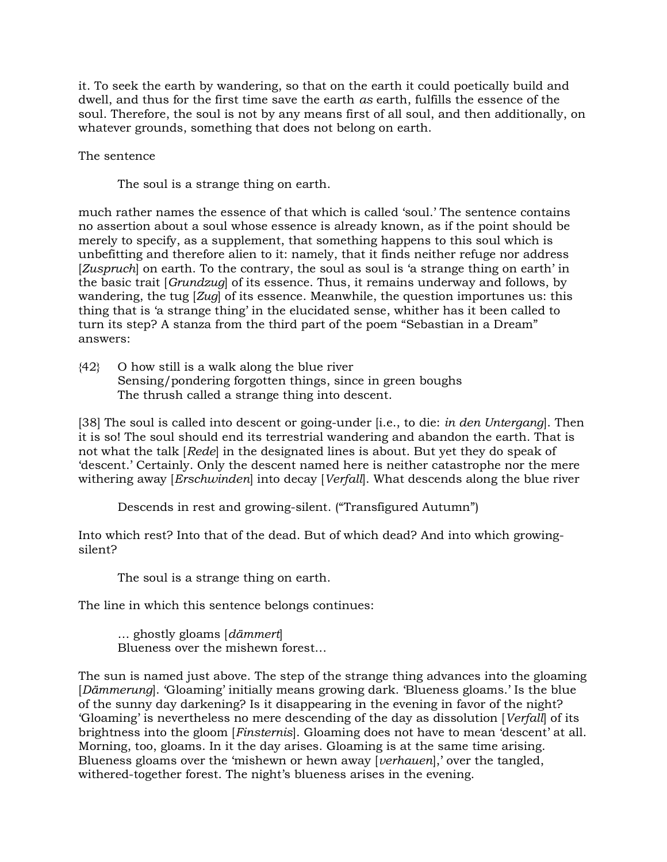it. To seek the earth by wandering, so that on the earth it could poetically build and dwell, and thus for the first time save the earth as earth, fulfills the essence of the soul. Therefore, the soul is not by any means first of all soul, and then additionally, on whatever grounds, something that does not belong on earth.

The sentence

The soul is a strange thing on earth.

much rather names the essence of that which is called 'soul.' The sentence contains no assertion about a soul whose essence is already known, as if the point should be merely to specify, as a supplement, that something happens to this soul which is unbefitting and therefore alien to it: namely, that it finds neither refuge nor address [Zuspruch] on earth. To the contrary, the soul as soul is 'a strange thing on earth' in the basic trait [Grundzug] of its essence. Thus, it remains underway and follows, by wandering, the tug [Zuq] of its essence. Meanwhile, the question importunes us: this thing that is 'a strange thing' in the elucidated sense, whither has it been called to turn its step? A stanza from the third part of the poem "Sebastian in a Dream" answers:

 $\{42\}$  O how still is a walk along the blue river Sensing/pondering forgotten things, since in green boughs The thrush called a strange thing into descent.

[38] The soul is called into descent or going-under [i.e., to die: *in den Untergang*]. Then it is so! The soul should end its terrestrial wandering and abandon the earth. That is not what the talk [Rede] in the designated lines is about. But yet they do speak of 'descent.' Certainly. Only the descent named here is neither catastrophe nor the mere withering away [*Erschwinden*] into decay [*Verfall*]. What descends along the blue river

Descends in rest and growing-silent. ("Transfigured Autumn")

Into which rest? Into that of the dead. But of which dead? And into which growingsilent?

The soul is a strange thing on earth.

The line in which this sentence belongs continues:

 … ghostly gloams [dämmert] Blueness over the mishewn forest…

The sun is named just above. The step of the strange thing advances into the gloaming [Dämmerung]. 'Gloaming' initially means growing dark. 'Blueness gloams.' Is the blue of the sunny day darkening? Is it disappearing in the evening in favor of the night? 'Gloaming' is nevertheless no mere descending of the day as dissolution [Verfall] of its brightness into the gloom [Finsternis]. Gloaming does not have to mean 'descent' at all. Morning, too, gloams. In it the day arises. Gloaming is at the same time arising. Blueness gloams over the 'mishewn or hewn away [verhauen],' over the tangled, withered-together forest. The night's blueness arises in the evening.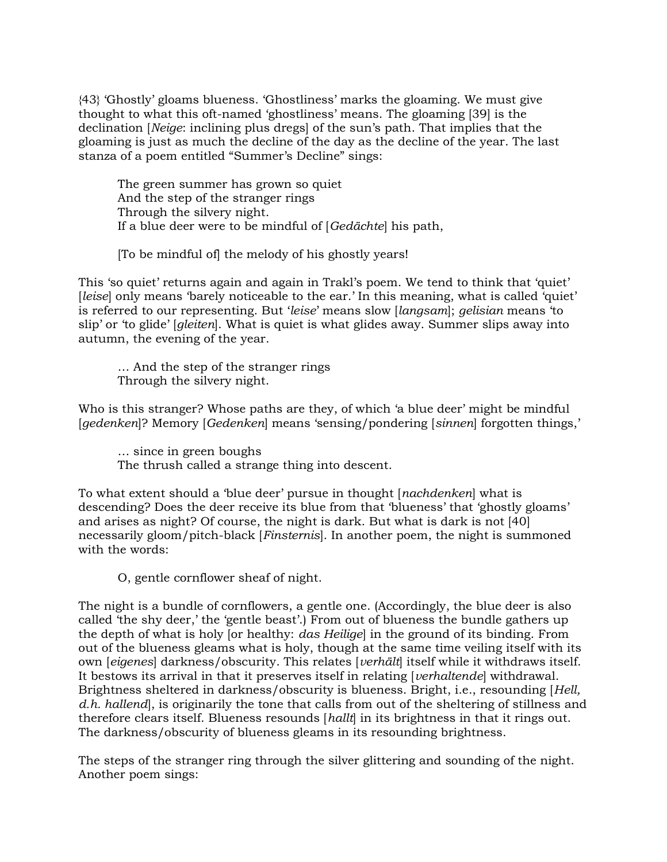{43} 'Ghostly' gloams blueness. 'Ghostliness' marks the gloaming. We must give thought to what this oft-named 'ghostliness' means. The gloaming [39] is the declination [Neige: inclining plus dregs] of the sun's path. That implies that the gloaming is just as much the decline of the day as the decline of the year. The last stanza of a poem entitled "Summer's Decline" sings:

 The green summer has grown so quiet And the step of the stranger rings Through the silvery night. If a blue deer were to be mindful of [Gedächte] his path,

[To be mindful of] the melody of his ghostly years!

This 'so quiet' returns again and again in Trakl's poem. We tend to think that 'quiet' [leise] only means 'barely noticeable to the ear.' In this meaning, what is called 'quiet' is referred to our representing. But 'leise' means slow [langsam]; gelisian means 'to slip' or 'to glide' [gleiten]. What is quiet is what glides away. Summer slips away into autumn, the evening of the year.

 … And the step of the stranger rings Through the silvery night.

Who is this stranger? Whose paths are they, of which 'a blue deer' might be mindful [gedenken]? Memory [Gedenken] means 'sensing/pondering [sinnen] forgotten things,'

 … since in green boughs The thrush called a strange thing into descent.

To what extent should a 'blue deer' pursue in thought [nachdenken] what is descending? Does the deer receive its blue from that 'blueness' that 'ghostly gloams' and arises as night? Of course, the night is dark. But what is dark is not [40] necessarily gloom/pitch-black [Finsternis]. In another poem, the night is summoned with the words:

O, gentle cornflower sheaf of night.

The night is a bundle of cornflowers, a gentle one. (Accordingly, the blue deer is also called 'the shy deer,' the 'gentle beast'.) From out of blueness the bundle gathers up the depth of what is holy [or healthy: *das Heilige*] in the ground of its binding. From out of the blueness gleams what is holy, though at the same time veiling itself with its own [eigenes] darkness/obscurity. This relates [verhält] itself while it withdraws itself. It bestows its arrival in that it preserves itself in relating [verhaltende] withdrawal. Brightness sheltered in darkness/obscurity is blueness. Bright, i.e., resounding [Hell, d.h. hallend, is originarily the tone that calls from out of the sheltering of stillness and therefore clears itself. Blueness resounds [hallt] in its brightness in that it rings out. The darkness/obscurity of blueness gleams in its resounding brightness.

The steps of the stranger ring through the silver glittering and sounding of the night. Another poem sings: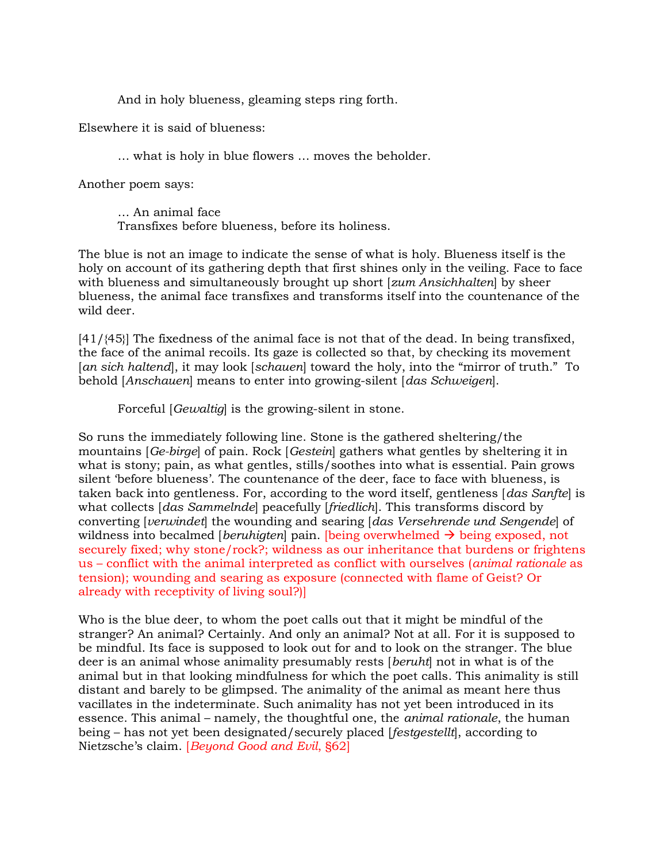And in holy blueness, gleaming steps ring forth.

Elsewhere it is said of blueness:

… what is holy in blue flowers … moves the beholder.

Another poem says:

 … An animal face Transfixes before blueness, before its holiness.

The blue is not an image to indicate the sense of what is holy. Blueness itself is the holy on account of its gathering depth that first shines only in the veiling. Face to face with blueness and simultaneously brought up short [*zum Ansichhalten*] by sheer blueness, the animal face transfixes and transforms itself into the countenance of the wild deer.

[41/{45}] The fixedness of the animal face is not that of the dead. In being transfixed, the face of the animal recoils. Its gaze is collected so that, by checking its movement [an sich haltend], it may look [schauen] toward the holy, into the "mirror of truth." To behold [Anschauen] means to enter into growing-silent [das Schweigen].

Forceful [Gewaltig] is the growing-silent in stone.

So runs the immediately following line. Stone is the gathered sheltering/the mountains [Ge-birge] of pain. Rock [Gestein] gathers what gentles by sheltering it in what is stony; pain, as what gentles, stills/soothes into what is essential. Pain grows silent 'before blueness'. The countenance of the deer, face to face with blueness, is taken back into gentleness. For, according to the word itself, gentleness [das Sanfte] is what collects [das Sammelnde] peacefully [friedlich]. This transforms discord by converting [verwindet] the wounding and searing [das Versehrende und Sengende] of wildness into becalmed *[beruhigten]* pain. *[being overwhelmed*  $\rightarrow$  *being exposed, not* securely fixed; why stone/rock?; wildness as our inheritance that burdens or frightens us – conflict with the animal interpreted as conflict with ourselves (animal rationale as tension); wounding and searing as exposure (connected with flame of Geist? Or already with receptivity of living soul?)]

Who is the blue deer, to whom the poet calls out that it might be mindful of the stranger? An animal? Certainly. And only an animal? Not at all. For it is supposed to be mindful. Its face is supposed to look out for and to look on the stranger. The blue deer is an animal whose animality presumably rests [beruht] not in what is of the animal but in that looking mindfulness for which the poet calls. This animality is still distant and barely to be glimpsed. The animality of the animal as meant here thus vacillates in the indeterminate. Such animality has not yet been introduced in its essence. This animal – namely, the thoughtful one, the animal rationale, the human being – has not yet been designated/securely placed [*festgestellt*], according to Nietzsche's claim. [Beyond Good and Evil, §62]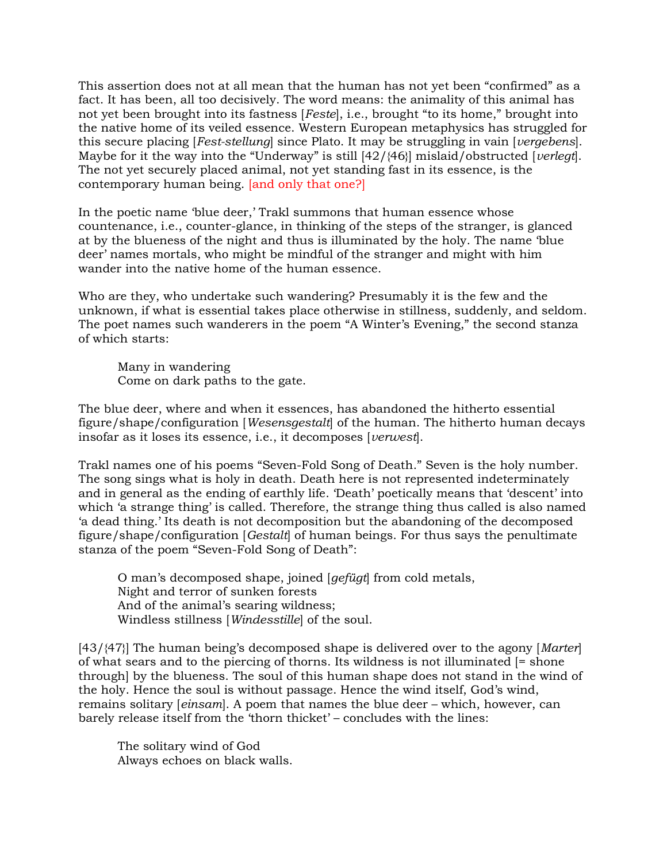This assertion does not at all mean that the human has not yet been "confirmed" as a fact. It has been, all too decisively. The word means: the animality of this animal has not yet been brought into its fastness [Feste], i.e., brought "to its home," brought into the native home of its veiled essence. Western European metaphysics has struggled for this secure placing [Fest-stellung] since Plato. It may be struggling in vain [vergebens]. Maybe for it the way into the "Underway" is still  $[42/\{46}]$  mislaid/obstructed [verlegt]. The not yet securely placed animal, not yet standing fast in its essence, is the contemporary human being. [and only that one?]

In the poetic name 'blue deer,' Trakl summons that human essence whose countenance, i.e., counter-glance, in thinking of the steps of the stranger, is glanced at by the blueness of the night and thus is illuminated by the holy. The name 'blue deer' names mortals, who might be mindful of the stranger and might with him wander into the native home of the human essence.

Who are they, who undertake such wandering? Presumably it is the few and the unknown, if what is essential takes place otherwise in stillness, suddenly, and seldom. The poet names such wanderers in the poem "A Winter's Evening," the second stanza of which starts:

 Many in wandering Come on dark paths to the gate.

The blue deer, where and when it essences, has abandoned the hitherto essential figure/shape/configuration [Wesensgestalt] of the human. The hitherto human decays insofar as it loses its essence, i.e., it decomposes [verwest].

Trakl names one of his poems "Seven-Fold Song of Death." Seven is the holy number. The song sings what is holy in death. Death here is not represented indeterminately and in general as the ending of earthly life. 'Death' poetically means that 'descent' into which 'a strange thing' is called. Therefore, the strange thing thus called is also named 'a dead thing.' Its death is not decomposition but the abandoning of the decomposed figure/shape/configuration [Gestalt] of human beings. For thus says the penultimate stanza of the poem "Seven-Fold Song of Death":

 O man's decomposed shape, joined [gefügt] from cold metals, Night and terror of sunken forests And of the animal's searing wildness; Windless stillness [Windesstille] of the soul.

[43/{47}] The human being's decomposed shape is delivered over to the agony [Marter] of what sears and to the piercing of thorns. Its wildness is not illuminated [= shone through] by the blueness. The soul of this human shape does not stand in the wind of the holy. Hence the soul is without passage. Hence the wind itself, God's wind, remains solitary [einsam]. A poem that names the blue deer – which, however, can barely release itself from the 'thorn thicket' – concludes with the lines:

 The solitary wind of God Always echoes on black walls.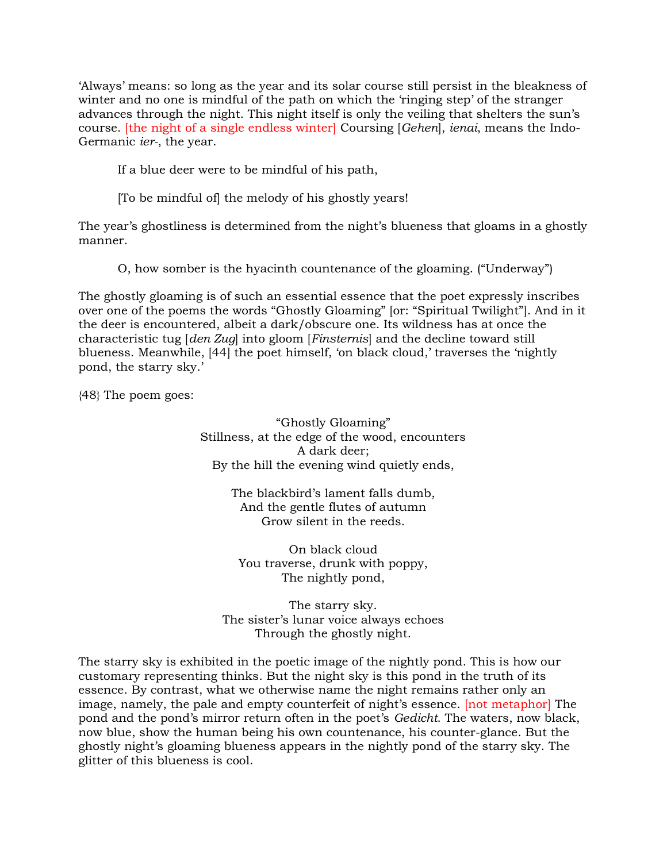'Always' means: so long as the year and its solar course still persist in the bleakness of winter and no one is mindful of the path on which the 'ringing step' of the stranger advances through the night. This night itself is only the veiling that shelters the sun's course. [the night of a single endless winter] Coursing [Gehen], ienai, means the Indo-Germanic ier-, the year.

If a blue deer were to be mindful of his path,

[To be mindful of] the melody of his ghostly years!

The year's ghostliness is determined from the night's blueness that gloams in a ghostly manner.

O, how somber is the hyacinth countenance of the gloaming. ("Underway")

The ghostly gloaming is of such an essential essence that the poet expressly inscribes over one of the poems the words "Ghostly Gloaming" [or: "Spiritual Twilight"]. And in it the deer is encountered, albeit a dark/obscure one. Its wildness has at once the characteristic tug [den Zug] into gloom [Finsternis] and the decline toward still blueness. Meanwhile, [44] the poet himself, 'on black cloud,' traverses the 'nightly pond, the starry sky.'

{48} The poem goes:

"Ghostly Gloaming" Stillness, at the edge of the wood, encounters A dark deer; By the hill the evening wind quietly ends,

> The blackbird's lament falls dumb, And the gentle flutes of autumn Grow silent in the reeds.

On black cloud You traverse, drunk with poppy, The nightly pond,

The starry sky. The sister's lunar voice always echoes Through the ghostly night.

The starry sky is exhibited in the poetic image of the nightly pond. This is how our customary representing thinks. But the night sky is this pond in the truth of its essence. By contrast, what we otherwise name the night remains rather only an image, namely, the pale and empty counterfeit of night's essence. [not metaphor] The pond and the pond's mirror return often in the poet's Gedicht. The waters, now black, now blue, show the human being his own countenance, his counter-glance. But the ghostly night's gloaming blueness appears in the nightly pond of the starry sky. The glitter of this blueness is cool.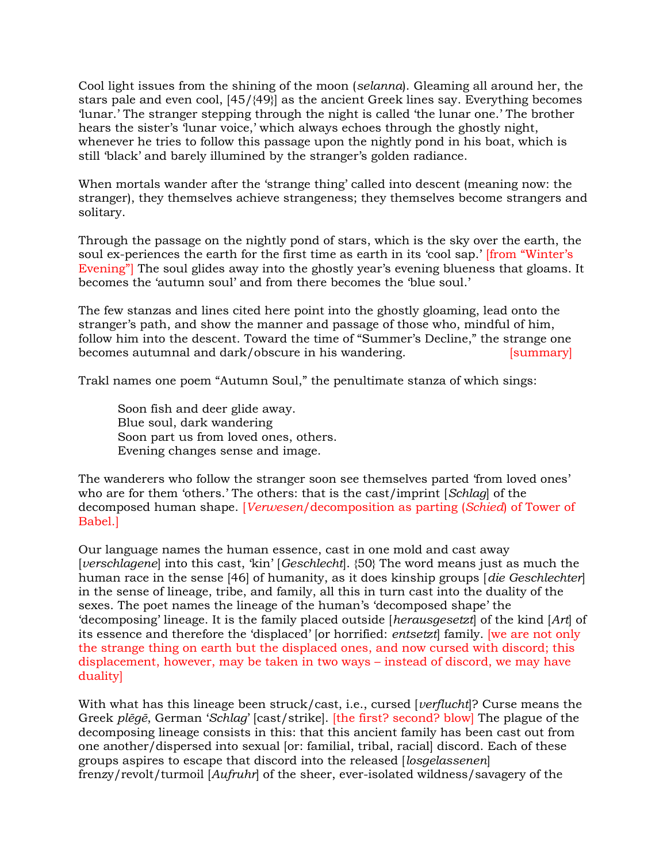Cool light issues from the shining of the moon (selanna). Gleaming all around her, the stars pale and even cool, [45/{49}] as the ancient Greek lines say. Everything becomes 'lunar.' The stranger stepping through the night is called 'the lunar one.' The brother hears the sister's 'lunar voice,' which always echoes through the ghostly night, whenever he tries to follow this passage upon the nightly pond in his boat, which is still 'black' and barely illumined by the stranger's golden radiance.

When mortals wander after the 'strange thing' called into descent (meaning now: the stranger), they themselves achieve strangeness; they themselves become strangers and solitary.

Through the passage on the nightly pond of stars, which is the sky over the earth, the soul ex-periences the earth for the first time as earth in its 'cool sap.' [from "Winter's Evening"] The soul glides away into the ghostly year's evening blueness that gloams. It becomes the 'autumn soul' and from there becomes the 'blue soul.'

The few stanzas and lines cited here point into the ghostly gloaming, lead onto the stranger's path, and show the manner and passage of those who, mindful of him, follow him into the descent. Toward the time of "Summer's Decline," the strange one becomes autumnal and dark/obscure in his wandering. [summary]

Trakl names one poem "Autumn Soul," the penultimate stanza of which sings:

 Soon fish and deer glide away. Blue soul, dark wandering Soon part us from loved ones, others. Evening changes sense and image.

The wanderers who follow the stranger soon see themselves parted 'from loved ones' who are for them 'others.' The others: that is the cast/imprint [Schlag] of the decomposed human shape. [Verwesen/decomposition as parting (Schied) of Tower of Babel.]

Our language names the human essence, cast in one mold and cast away [verschlagene] into this cast, 'kin' [Geschlecht]. {50} The word means just as much the human race in the sense [46] of humanity, as it does kinship groups [die Geschlechter] in the sense of lineage, tribe, and family, all this in turn cast into the duality of the sexes. The poet names the lineage of the human's 'decomposed shape' the 'decomposing' lineage. It is the family placed outside [herausgesetzt] of the kind [Art] of its essence and therefore the 'displaced' [or horrified: entsetzt] family. [we are not only the strange thing on earth but the displaced ones, and now cursed with discord; this displacement, however, may be taken in two ways – instead of discord, we may have duality]

With what has this lineage been struck/cast, i.e., cursed [*verflucht*]? Curse means the Greek plēgē, German 'Schlag' [cast/strike]. [the first? second? blow] The plague of the decomposing lineage consists in this: that this ancient family has been cast out from one another/dispersed into sexual [or: familial, tribal, racial] discord. Each of these groups aspires to escape that discord into the released [losgelassenen] frenzy/revolt/turmoil [Aufruhr] of the sheer, ever-isolated wildness/savagery of the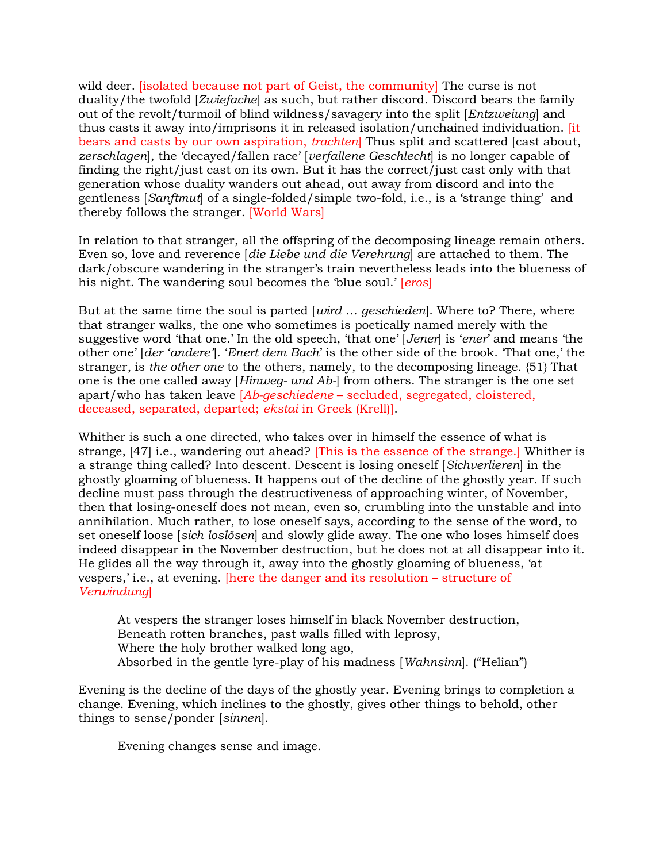wild deer. [isolated because not part of Geist, the community] The curse is not duality/the twofold [Zwiefache] as such, but rather discord. Discord bears the family out of the revolt/turmoil of blind wildness/savagery into the split [Entzweiung] and thus casts it away into/imprisons it in released isolation/unchained individuation. [it bears and casts by our own aspiration, *trachten* Thus split and scattered [cast about, zerschlagen], the 'decayed/fallen race' [verfallene Geschlecht] is no longer capable of finding the right/just cast on its own. But it has the correct/just cast only with that generation whose duality wanders out ahead, out away from discord and into the gentleness [Sanftmut] of a single-folded/simple two-fold, i.e., is a 'strange thing' and thereby follows the stranger. [World Wars]

In relation to that stranger, all the offspring of the decomposing lineage remain others. Even so, love and reverence [die Liebe und die Verehrung] are attached to them. The dark/obscure wandering in the stranger's train nevertheless leads into the blueness of his night. The wandering soul becomes the 'blue soul.' [*eros*]

But at the same time the soul is parted  $|wird...|$  geschieden. Where to? There, where that stranger walks, the one who sometimes is poetically named merely with the suggestive word 'that one.' In the old speech, 'that one' [Jener] is 'ener' and means 'the other one' [der 'andere']. 'Enert dem Bach' is the other side of the brook. 'That one,' the stranger, is the other one to the others, namely, to the decomposing lineage. {51} That one is the one called away [Hinweg- und Ab-] from others. The stranger is the one set apart/who has taken leave  $[Ab-geschiedene - secluded, segregated, cloistered,$ deceased, separated, departed; ekstai in Greek (Krell)].

Whither is such a one directed, who takes over in himself the essence of what is strange, [47] i.e., wandering out ahead? [This is the essence of the strange.] Whither is a strange thing called? Into descent. Descent is losing oneself [Sichverlieren] in the ghostly gloaming of blueness. It happens out of the decline of the ghostly year. If such decline must pass through the destructiveness of approaching winter, of November, then that losing-oneself does not mean, even so, crumbling into the unstable and into annihilation. Much rather, to lose oneself says, according to the sense of the word, to set oneself loose [sich loslösen] and slowly glide away. The one who loses himself does indeed disappear in the November destruction, but he does not at all disappear into it. He glides all the way through it, away into the ghostly gloaming of blueness, 'at vespers,' i.e., at evening. [here the danger and its resolution – structure of Verwindung]

 At vespers the stranger loses himself in black November destruction, Beneath rotten branches, past walls filled with leprosy, Where the holy brother walked long ago, Absorbed in the gentle lyre-play of his madness [Wahnsinn]. ("Helian")

Evening is the decline of the days of the ghostly year. Evening brings to completion a change. Evening, which inclines to the ghostly, gives other things to behold, other things to sense/ponder [sinnen].

Evening changes sense and image.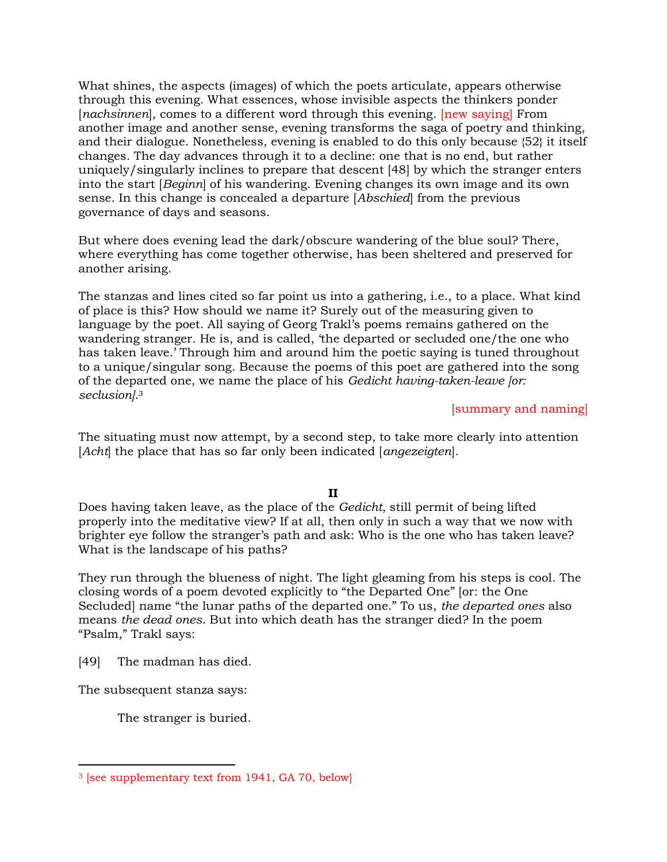What shines, the aspects (images) of which the poets articulate, appears otherwise through this evening. What essences, whose invisible aspects the thinkers ponder [nachsinnen], comes to a different word through this evening. [new saying] From another image and another sense, evening transforms the saga of poetry and thinking, and their dialogue. Nonetheless, evening is enabled to do this only because {52} it itself changes. The day advances through it to a decline: one that is no end, but rather uniquely/singularly inclines to prepare that descent [48] by which the stranger enters into the start [Beginn] of his wandering. Evening changes its own image and its own sense. In this change is concealed a departure [Abschied] from the previous governance of days and seasons.

But where does evening lead the dark/obscure wandering of the blue soul? There, where everything has come together otherwise, has been sheltered and preserved for another arising.

The stanzas and lines cited so far point us into a gathering, i.e., to a place. What kind of place is this? How should we name it? Surely out of the measuring given to language by the poet. All saying of Georg Trakl's poems remains gathered on the wandering stranger. He is, and is called, 'the departed or secluded one/the one who has taken leave.' Through him and around him the poetic saying is tuned throughout to a unique/singular song. Because the poems of this poet are gathered into the song of the departed one, we name the place of his Gedicht having-taken-leave [or: seclusion].<sup>3</sup>

[summary and naming]

The situating must now attempt, by a second step, to take more clearly into attention [Acht] the place that has so far only been indicated [angezeigten].

## II

Does having taken leave, as the place of the Gedicht, still permit of being lifted properly into the meditative view? If at all, then only in such a way that we now with brighter eye follow the stranger's path and ask: Who is the one who has taken leave? What is the landscape of his paths?

They run through the blueness of night. The light gleaming from his steps is cool. The closing words of a poem devoted explicitly to "the Departed One" [or: the One Secluded] name "the lunar paths of the departed one." To us, the departed ones also means the dead ones. But into which death has the stranger died? In the poem "Psalm," Trakl says:

[49] The madman has died.

The subsequent stanza says:

The stranger is buried.

<sup>3</sup> [see supplementary text from 1941, GA 70, below]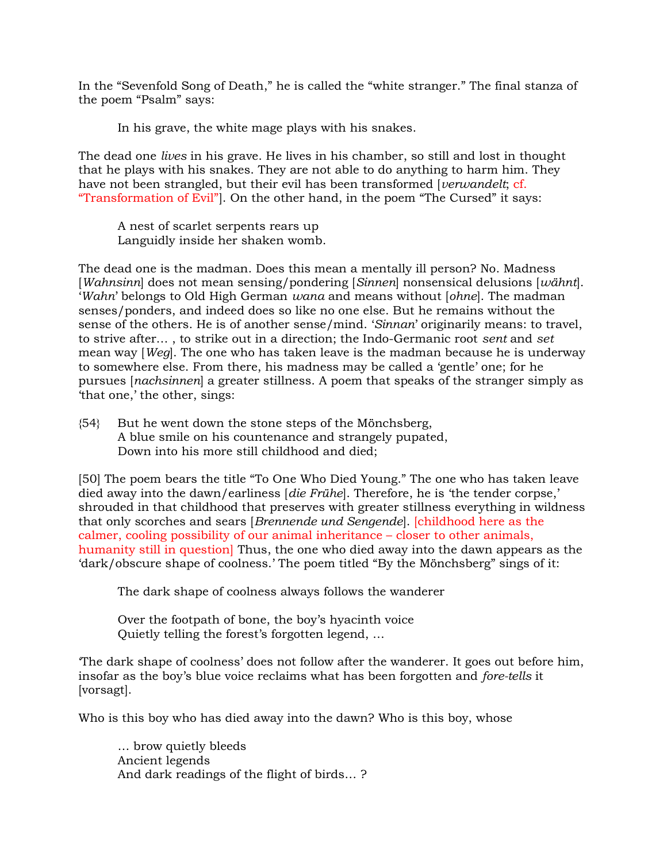In the "Sevenfold Song of Death," he is called the "white stranger." The final stanza of the poem "Psalm" says:

In his grave, the white mage plays with his snakes.

The dead one lives in his grave. He lives in his chamber, so still and lost in thought that he plays with his snakes. They are not able to do anything to harm him. They have not been strangled, but their evil has been transformed [verwandelt; cf. "Transformation of Evil"]. On the other hand, in the poem "The Cursed" it says:

 A nest of scarlet serpents rears up Languidly inside her shaken womb.

The dead one is the madman. Does this mean a mentally ill person? No. Madness [Wahnsinn] does not mean sensing/pondering [Sinnen] nonsensical delusions [wähnt]. 'Wahn' belongs to Old High German wana and means without [ohne]. The madman senses/ponders, and indeed does so like no one else. But he remains without the sense of the others. He is of another sense/mind. 'Sinnan' originarily means: to travel, to strive after… , to strike out in a direction; the Indo-Germanic root sent and set mean way [Weg]. The one who has taken leave is the madman because he is underway to somewhere else. From there, his madness may be called a 'gentle' one; for he pursues [nachsinnen] a greater stillness. A poem that speaks of the stranger simply as 'that one,' the other, sings:

{54} But he went down the stone steps of the Mönchsberg, A blue smile on his countenance and strangely pupated, Down into his more still childhood and died;

[50] The poem bears the title "To One Who Died Young." The one who has taken leave died away into the dawn/earliness [die Frühe]. Therefore, he is 'the tender corpse,' shrouded in that childhood that preserves with greater stillness everything in wildness that only scorches and sears [Brennende und Sengende]. [childhood here as the calmer, cooling possibility of our animal inheritance – closer to other animals, humanity still in question] Thus, the one who died away into the dawn appears as the 'dark/obscure shape of coolness.' The poem titled "By the Mönchsberg" sings of it:

The dark shape of coolness always follows the wanderer

 Over the footpath of bone, the boy's hyacinth voice Quietly telling the forest's forgotten legend, …

'The dark shape of coolness' does not follow after the wanderer. It goes out before him, insofar as the boy's blue voice reclaims what has been forgotten and fore-tells it [vorsagt].

Who is this boy who has died away into the dawn? Who is this boy, whose

 … brow quietly bleeds Ancient legends And dark readings of the flight of birds… ?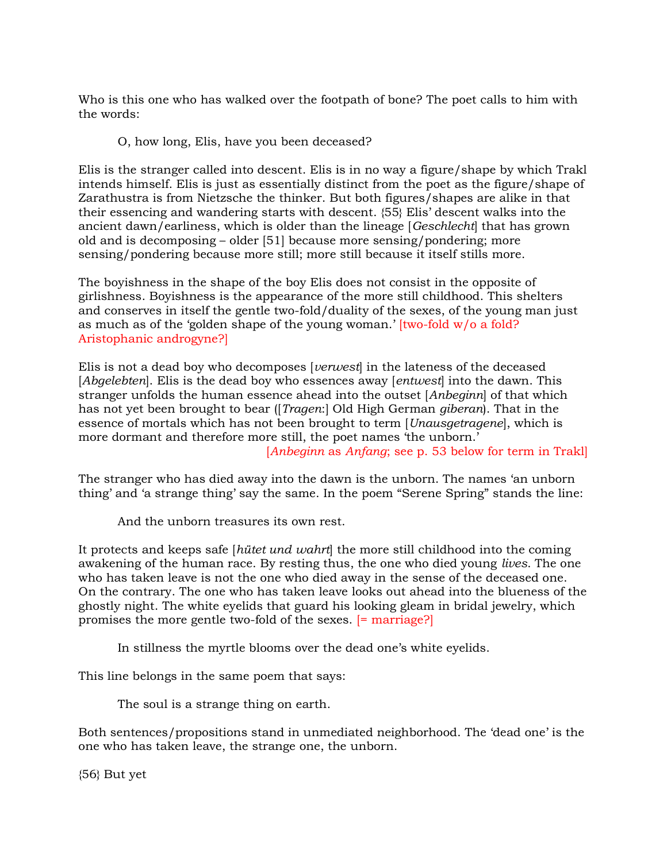Who is this one who has walked over the footpath of bone? The poet calls to him with the words:

O, how long, Elis, have you been deceased?

Elis is the stranger called into descent. Elis is in no way a figure/shape by which Trakl intends himself. Elis is just as essentially distinct from the poet as the figure/shape of Zarathustra is from Nietzsche the thinker. But both figures/shapes are alike in that their essencing and wandering starts with descent. {55} Elis' descent walks into the ancient dawn/earliness, which is older than the lineage [Geschlecht] that has grown old and is decomposing – older [51] because more sensing/pondering; more sensing/pondering because more still; more still because it itself stills more.

The boyishness in the shape of the boy Elis does not consist in the opposite of girlishness. Boyishness is the appearance of the more still childhood. This shelters and conserves in itself the gentle two-fold/duality of the sexes, of the young man just as much as of the 'golden shape of the young woman.' [two-fold w/o a fold? Aristophanic androgyne?]

Elis is not a dead boy who decomposes [verwest] in the lateness of the deceased [Abgelebten]. Elis is the dead boy who essences away [entwest] into the dawn. This stranger unfolds the human essence ahead into the outset [Anbeginn] of that which has not yet been brought to bear ([*Tragen*:] Old High German *giberan*). That in the essence of mortals which has not been brought to term [Unausgetragene], which is more dormant and therefore more still, the poet names 'the unborn.'

[Anbeginn as Anfang; see p. 53 below for term in Trakl]

The stranger who has died away into the dawn is the unborn. The names 'an unborn thing' and 'a strange thing' say the same. In the poem "Serene Spring" stands the line:

And the unborn treasures its own rest.

It protects and keeps safe *hütet und wahrt* the more still childhood into the coming awakening of the human race. By resting thus, the one who died young lives. The one who has taken leave is not the one who died away in the sense of the deceased one. On the contrary. The one who has taken leave looks out ahead into the blueness of the ghostly night. The white eyelids that guard his looking gleam in bridal jewelry, which promises the more gentle two-fold of the sexes. [= marriage?]

In stillness the myrtle blooms over the dead one's white eyelids.

This line belongs in the same poem that says:

The soul is a strange thing on earth.

Both sentences/propositions stand in unmediated neighborhood. The 'dead one' is the one who has taken leave, the strange one, the unborn.

{56} But yet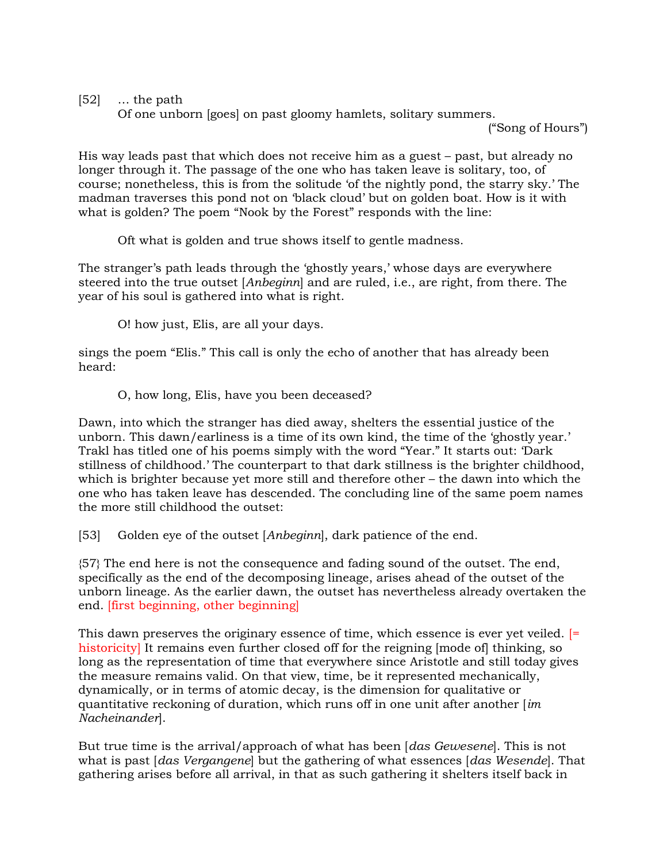$[52]$  … the path

Of one unborn [goes] on past gloomy hamlets, solitary summers.

("Song of Hours")

His way leads past that which does not receive him as a guest – past, but already no longer through it. The passage of the one who has taken leave is solitary, too, of course; nonetheless, this is from the solitude 'of the nightly pond, the starry sky.' The madman traverses this pond not on 'black cloud' but on golden boat. How is it with what is golden? The poem "Nook by the Forest" responds with the line:

Oft what is golden and true shows itself to gentle madness.

The stranger's path leads through the 'ghostly years,' whose days are everywhere steered into the true outset [Anbeginn] and are ruled, i.e., are right, from there. The year of his soul is gathered into what is right.

O! how just, Elis, are all your days.

sings the poem "Elis." This call is only the echo of another that has already been heard:

O, how long, Elis, have you been deceased?

Dawn, into which the stranger has died away, shelters the essential justice of the unborn. This dawn/earliness is a time of its own kind, the time of the 'ghostly year.' Trakl has titled one of his poems simply with the word "Year." It starts out: 'Dark stillness of childhood.' The counterpart to that dark stillness is the brighter childhood, which is brighter because yet more still and therefore other – the dawn into which the one who has taken leave has descended. The concluding line of the same poem names the more still childhood the outset:

[53] Golden eye of the outset [Anbeginn], dark patience of the end.

{57} The end here is not the consequence and fading sound of the outset. The end, specifically as the end of the decomposing lineage, arises ahead of the outset of the unborn lineage. As the earlier dawn, the outset has nevertheless already overtaken the end. [first beginning, other beginning]

This dawn preserves the originary essence of time, which essence is ever yet veiled. [= historicity] It remains even further closed off for the reigning  $\alpha$  [mode of thinking, so long as the representation of time that everywhere since Aristotle and still today gives the measure remains valid. On that view, time, be it represented mechanically, dynamically, or in terms of atomic decay, is the dimension for qualitative or quantitative reckoning of duration, which runs off in one unit after another  $\lim$ Nacheinander].

But true time is the arrival/approach of what has been [das Gewesene]. This is not what is past *[das Vergangene]* but the gathering of what essences *[das Wesende]*. That gathering arises before all arrival, in that as such gathering it shelters itself back in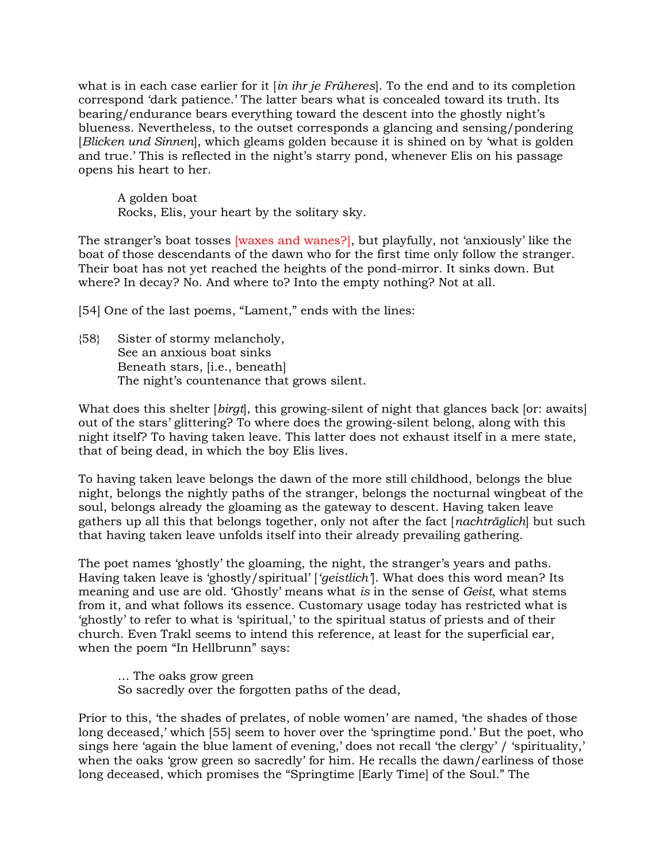what is in each case earlier for it  $\left| \text{i}n \text{ i} \text{h}r \text{ } \text{j}e \text{ } \text{Friiheres} \right|$ . To the end and to its completion correspond 'dark patience.' The latter bears what is concealed toward its truth. Its bearing/endurance bears everything toward the descent into the ghostly night's blueness. Nevertheless, to the outset corresponds a glancing and sensing/pondering [Blicken und Sinnen], which gleams golden because it is shined on by 'what is golden and true.' This is reflected in the night's starry pond, whenever Elis on his passage opens his heart to her.

 A golden boat Rocks, Elis, your heart by the solitary sky.

The stranger's boat tosses [waxes and wanes?], but playfully, not 'anxiously' like the boat of those descendants of the dawn who for the first time only follow the stranger. Their boat has not yet reached the heights of the pond-mirror. It sinks down. But where? In decay? No. And where to? Into the empty nothing? Not at all.

[54] One of the last poems, "Lament," ends with the lines:

{58} Sister of stormy melancholy, See an anxious boat sinks Beneath stars, [i.e., beneath] The night's countenance that grows silent.

What does this shelter [birgt], this growing-silent of night that glances back [or: awaits] out of the stars' glittering? To where does the growing-silent belong, along with this night itself? To having taken leave. This latter does not exhaust itself in a mere state, that of being dead, in which the boy Elis lives.

To having taken leave belongs the dawn of the more still childhood, belongs the blue night, belongs the nightly paths of the stranger, belongs the nocturnal wingbeat of the soul, belongs already the gloaming as the gateway to descent. Having taken leave gathers up all this that belongs together, only not after the fact [nachträglich] but such that having taken leave unfolds itself into their already prevailing gathering.

The poet names 'ghostly' the gloaming, the night, the stranger's years and paths. Having taken leave is 'ghostly/spiritual' ['*geistlich'*]. What does this word mean? Its meaning and use are old. 'Ghostly' means what is in the sense of Geist, what stems from it, and what follows its essence. Customary usage today has restricted what is 'ghostly' to refer to what is 'spiritual,' to the spiritual status of priests and of their church. Even Trakl seems to intend this reference, at least for the superficial ear, when the poem "In Hellbrunn" says:

 … The oaks grow green So sacredly over the forgotten paths of the dead,

Prior to this, 'the shades of prelates, of noble women' are named, 'the shades of those long deceased,' which [55] seem to hover over the 'springtime pond.' But the poet, who sings here 'again the blue lament of evening,' does not recall 'the clergy' / 'spirituality,' when the oaks 'grow green so sacredly' for him. He recalls the dawn/earliness of those long deceased, which promises the "Springtime [Early Time] of the Soul." The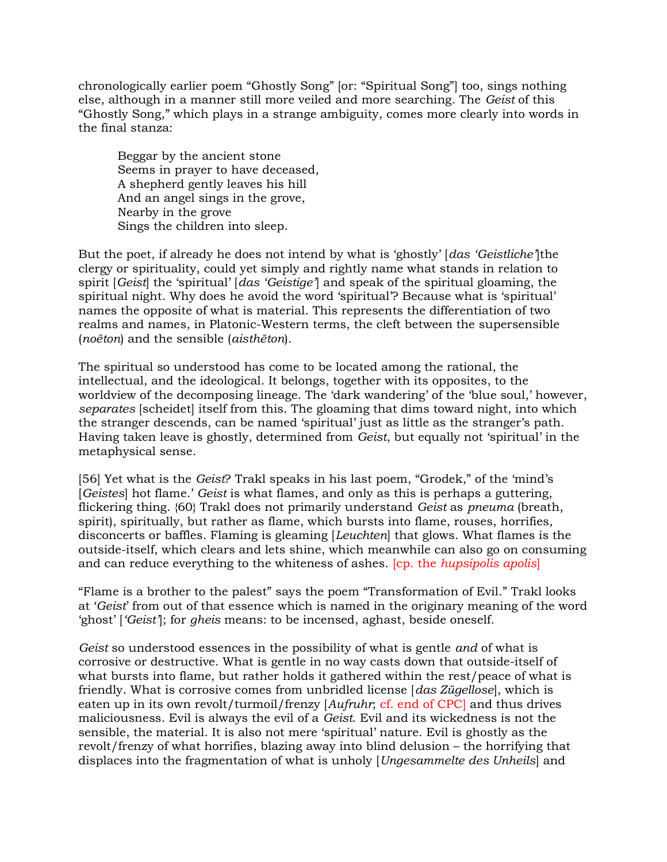chronologically earlier poem "Ghostly Song" [or: "Spiritual Song"] too, sings nothing else, although in a manner still more veiled and more searching. The Geist of this "Ghostly Song," which plays in a strange ambiguity, comes more clearly into words in the final stanza:

 Beggar by the ancient stone Seems in prayer to have deceased, A shepherd gently leaves his hill And an angel sings in the grove, Nearby in the grove Sings the children into sleep.

But the poet, if already he does not intend by what is 'ghostly' [das 'Geistliche'] the clergy or spirituality, could yet simply and rightly name what stands in relation to spirit [Geist] the 'spiritual' [das 'Geistige'] and speak of the spiritual gloaming, the spiritual night. Why does he avoid the word 'spiritual'? Because what is 'spiritual' names the opposite of what is material. This represents the differentiation of two realms and names, in Platonic-Western terms, the cleft between the supersensible (noēton) and the sensible (aisthēton).

The spiritual so understood has come to be located among the rational, the intellectual, and the ideological. It belongs, together with its opposites, to the worldview of the decomposing lineage. The 'dark wandering' of the 'blue soul,' however, separates [scheidet] itself from this. The gloaming that dims toward night, into which the stranger descends, can be named 'spiritual' just as little as the stranger's path. Having taken leave is ghostly, determined from Geist, but equally not 'spiritual' in the metaphysical sense.

[56] Yet what is the Geist? Trakl speaks in his last poem, "Grodek," of the 'mind's [Geistes] hot flame.' Geist is what flames, and only as this is perhaps a guttering, flickering thing. {60} Trakl does not primarily understand Geist as pneuma (breath, spirit), spiritually, but rather as flame, which bursts into flame, rouses, horrifies, disconcerts or baffles. Flaming is gleaming [Leuchten] that glows. What flames is the outside-itself, which clears and lets shine, which meanwhile can also go on consuming and can reduce everything to the whiteness of ashes. [cp. the hupsipolis apolis]

"Flame is a brother to the palest" says the poem "Transformation of Evil." Trakl looks at 'Geist' from out of that essence which is named in the originary meaning of the word 'ghost' ['Geist']; for gheis means: to be incensed, aghast, beside oneself.

Geist so understood essences in the possibility of what is gentle *and* of what is corrosive or destructive. What is gentle in no way casts down that outside-itself of what bursts into flame, but rather holds it gathered within the rest/peace of what is friendly. What is corrosive comes from unbridled license [das Zügellose], which is eaten up in its own revolt/turmoil/frenzy [Aufruhr; cf. end of CPC] and thus drives maliciousness. Evil is always the evil of a Geist. Evil and its wickedness is not the sensible, the material. It is also not mere 'spiritual' nature. Evil is ghostly as the revolt/frenzy of what horrifies, blazing away into blind delusion – the horrifying that displaces into the fragmentation of what is unholy [Ungesammelte des Unheils] and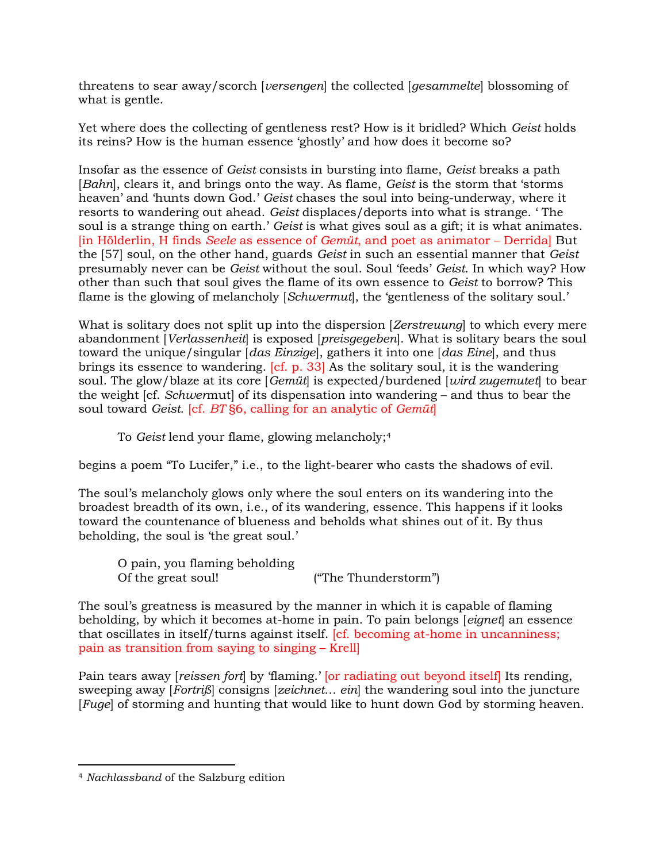threatens to sear away/scorch [versengen] the collected [gesammelte] blossoming of what is gentle.

Yet where does the collecting of gentleness rest? How is it bridled? Which Geist holds its reins? How is the human essence 'ghostly' and how does it become so?

Insofar as the essence of Geist consists in bursting into flame, Geist breaks a path [Bahn], clears it, and brings onto the way. As flame, Geist is the storm that 'storms heaven' and 'hunts down God.' Geist chases the soul into being-underway, where it resorts to wandering out ahead. Geist displaces/deports into what is strange. ' The soul is a strange thing on earth.' Geist is what gives soul as a gift; it is what animates. [in Hölderlin, H finds Seele as essence of Gemüt, and poet as animator – Derrida] But the [57] soul, on the other hand, guards Geist in such an essential manner that Geist presumably never can be Geist without the soul. Soul 'feeds' Geist. In which way? How other than such that soul gives the flame of its own essence to Geist to borrow? This flame is the glowing of melancholy [Schwermut], the 'gentleness of the solitary soul.'

What is solitary does not split up into the dispersion [*Zerstreuung*] to which every mere abandonment [Verlassenheit] is exposed [preisgegeben]. What is solitary bears the soul toward the unique/singular [das Einzige], gathers it into one [das Eine], and thus brings its essence to wandering. [cf. p. 33] As the solitary soul, it is the wandering soul. The glow/blaze at its core [Gemüt] is expected/burdened [wird zugemutet] to bear the weight [cf. Schwermut] of its dispensation into wandering – and thus to bear the soul toward Geist. [cf. BT §6, calling for an analytic of Gemüt]

To Geist lend your flame, glowing melancholy;<sup>4</sup>

begins a poem "To Lucifer," i.e., to the light-bearer who casts the shadows of evil.

The soul's melancholy glows only where the soul enters on its wandering into the broadest breadth of its own, i.e., of its wandering, essence. This happens if it looks toward the countenance of blueness and beholds what shines out of it. By thus beholding, the soul is 'the great soul.'

 O pain, you flaming beholding Of the great soul! ("The Thunderstorm")

The soul's greatness is measured by the manner in which it is capable of flaming beholding, by which it becomes at-home in pain. To pain belongs *[eignet]* an essence that oscillates in itself/turns against itself. [cf. becoming at-home in uncanniness; pain as transition from saying to singing – Krell]

Pain tears away *[reissen fort]* by 'flaming.' *[or radiating out beyond itself]* Its rending, sweeping away [Fortriß] consigns [zeichnet… ein] the wandering soul into the juncture [Fuge] of storming and hunting that would like to hunt down God by storming heaven.

<sup>4</sup> Nachlassband of the Salzburg edition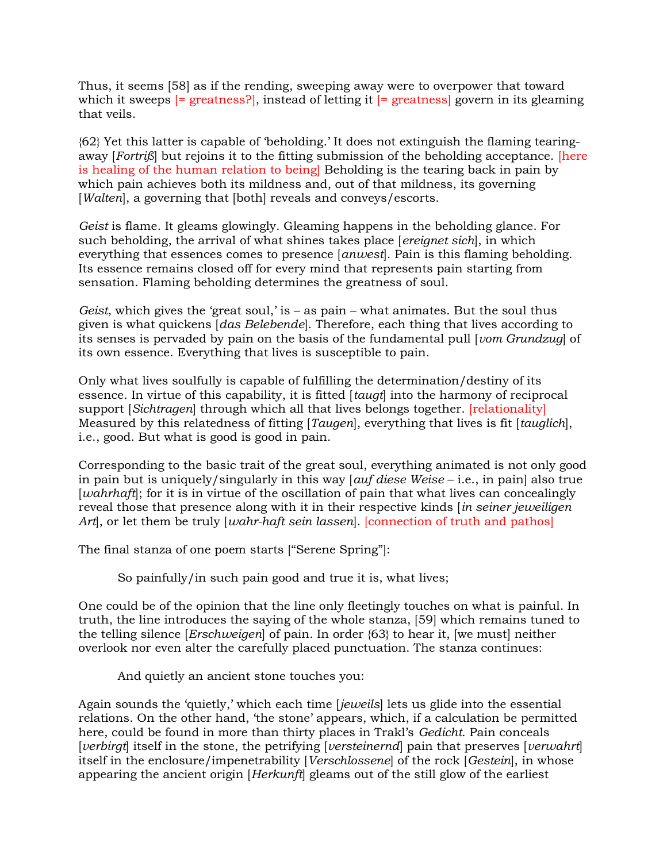Thus, it seems [58] as if the rending, sweeping away were to overpower that toward which it sweeps  $[=$  greatness?, instead of letting it  $[=$  greatness govern in its gleaming that veils.

{62} Yet this latter is capable of 'beholding.' It does not extinguish the flaming tearingaway [Fortriß] but rejoins it to the fitting submission of the beholding acceptance. [here is healing of the human relation to being] Beholding is the tearing back in pain by which pain achieves both its mildness and, out of that mildness, its governing [*Walten*], a governing that [both] reveals and conveys/escorts.

Geist is flame. It gleams glowingly. Gleaming happens in the beholding glance. For such beholding, the arrival of what shines takes place [ereignet sich], in which everything that essences comes to presence [anwest]. Pain is this flaming beholding. Its essence remains closed off for every mind that represents pain starting from sensation. Flaming beholding determines the greatness of soul.

Geist, which gives the 'great soul,' is – as pain – what animates. But the soul thus given is what quickens [das Belebende]. Therefore, each thing that lives according to its senses is pervaded by pain on the basis of the fundamental pull [vom Grundzug] of its own essence. Everything that lives is susceptible to pain.

Only what lives soulfully is capable of fulfilling the determination/destiny of its essence. In virtue of this capability, it is fitted [taugt] into the harmony of reciprocal support [Sichtragen] through which all that lives belongs together. [relationality] Measured by this relatedness of fitting [Taugen], everything that lives is fit [tauglich], i.e., good. But what is good is good in pain.

Corresponding to the basic trait of the great soul, everything animated is not only good in pain but is uniquely/singularly in this way [auf diese Weise – i.e., in pain] also true [wahrhaft]; for it is in virtue of the oscillation of pain that what lives can concealingly reveal those that presence along with it in their respective kinds *in seiner jeweiligen* Art, or let them be truly  $[wahr-haft, in]$  lassen]. [connection of truth and pathos]

The final stanza of one poem starts ["Serene Spring"]:

So painfully/in such pain good and true it is, what lives;

One could be of the opinion that the line only fleetingly touches on what is painful. In truth, the line introduces the saying of the whole stanza, [59] which remains tuned to the telling silence [*Erschweigen*] of pain. In order  ${63}$  to hear it, [we must] neither overlook nor even alter the carefully placed punctuation. The stanza continues:

And quietly an ancient stone touches you:

Again sounds the 'quietly,' which each time [jeweils] lets us glide into the essential relations. On the other hand, 'the stone' appears, which, if a calculation be permitted here, could be found in more than thirty places in Trakl's Gedicht. Pain conceals [verbirgt] itself in the stone, the petrifying [versteinernd] pain that preserves [verwahrt] itself in the enclosure/impenetrability [Verschlossene] of the rock [Gestein], in whose appearing the ancient origin [Herkunft] gleams out of the still glow of the earliest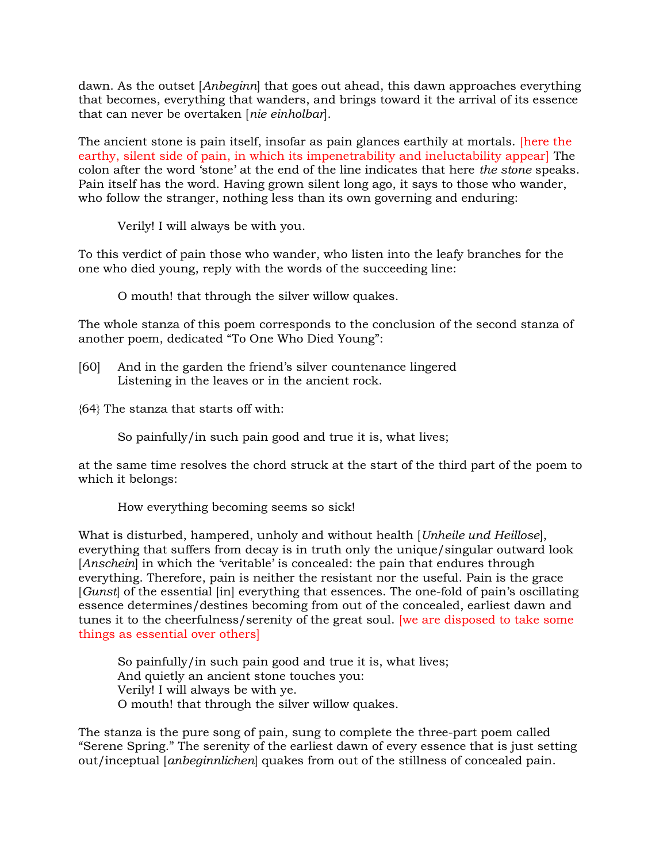dawn. As the outset [Anbeginn] that goes out ahead, this dawn approaches everything that becomes, everything that wanders, and brings toward it the arrival of its essence that can never be overtaken [nie einholbar].

The ancient stone is pain itself, insofar as pain glances earthily at mortals. [here the earthy, silent side of pain, in which its impenetrability and ineluctability appear] The colon after the word 'stone' at the end of the line indicates that here the stone speaks. Pain itself has the word. Having grown silent long ago, it says to those who wander, who follow the stranger, nothing less than its own governing and enduring:

Verily! I will always be with you.

To this verdict of pain those who wander, who listen into the leafy branches for the one who died young, reply with the words of the succeeding line:

O mouth! that through the silver willow quakes.

The whole stanza of this poem corresponds to the conclusion of the second stanza of another poem, dedicated "To One Who Died Young":

- [60] And in the garden the friend's silver countenance lingered Listening in the leaves or in the ancient rock.
- {64} The stanza that starts off with:

So painfully/in such pain good and true it is, what lives;

at the same time resolves the chord struck at the start of the third part of the poem to which it belongs:

How everything becoming seems so sick!

What is disturbed, hampered, unholy and without health [Unheile und Heillose], everything that suffers from decay is in truth only the unique/singular outward look [Anschein] in which the 'veritable' is concealed: the pain that endures through everything. Therefore, pain is neither the resistant nor the useful. Pain is the grace [Gunst] of the essential [in] everything that essences. The one-fold of pain's oscillating essence determines/destines becoming from out of the concealed, earliest dawn and tunes it to the cheerfulness/serenity of the great soul. [we are disposed to take some things as essential over others]

 So painfully/in such pain good and true it is, what lives; And quietly an ancient stone touches you: Verily! I will always be with ye. O mouth! that through the silver willow quakes.

The stanza is the pure song of pain, sung to complete the three-part poem called "Serene Spring." The serenity of the earliest dawn of every essence that is just setting out/inceptual [anbeginnlichen] quakes from out of the stillness of concealed pain.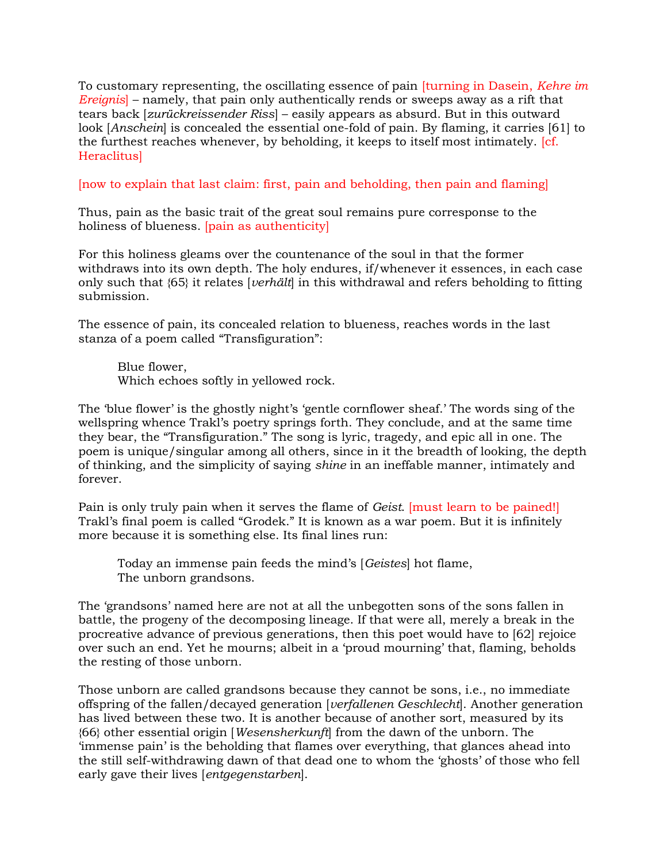To customary representing, the oscillating essence of pain *[turning in Dasein, Kehre im*] Ereignis] – namely, that pain only authentically rends or sweeps away as a rift that tears back [zurückreissender Riss] – easily appears as absurd. But in this outward look [Anschein] is concealed the essential one-fold of pain. By flaming, it carries [61] to the furthest reaches whenever, by beholding, it keeps to itself most intimately. [cf. Heraclitus]

[now to explain that last claim: first, pain and beholding, then pain and flaming]

Thus, pain as the basic trait of the great soul remains pure corresponse to the holiness of blueness. [pain as authenticity]

For this holiness gleams over the countenance of the soul in that the former withdraws into its own depth. The holy endures, if/whenever it essences, in each case only such that  ${65}$  it relates [*verhält*] in this withdrawal and refers beholding to fitting submission.

The essence of pain, its concealed relation to blueness, reaches words in the last stanza of a poem called "Transfiguration":

 Blue flower, Which echoes softly in yellowed rock.

The 'blue flower' is the ghostly night's 'gentle cornflower sheaf.' The words sing of the wellspring whence Trakl's poetry springs forth. They conclude, and at the same time they bear, the "Transfiguration." The song is lyric, tragedy, and epic all in one. The poem is unique/singular among all others, since in it the breadth of looking, the depth of thinking, and the simplicity of saying shine in an ineffable manner, intimately and forever.

Pain is only truly pain when it serves the flame of Geist. [must learn to be pained!] Trakl's final poem is called "Grodek." It is known as a war poem. But it is infinitely more because it is something else. Its final lines run:

 Today an immense pain feeds the mind's [Geistes] hot flame, The unborn grandsons.

The 'grandsons' named here are not at all the unbegotten sons of the sons fallen in battle, the progeny of the decomposing lineage. If that were all, merely a break in the procreative advance of previous generations, then this poet would have to [62] rejoice over such an end. Yet he mourns; albeit in a 'proud mourning' that, flaming, beholds the resting of those unborn.

Those unborn are called grandsons because they cannot be sons, i.e., no immediate offspring of the fallen/decayed generation [verfallenen Geschlecht]. Another generation has lived between these two. It is another because of another sort, measured by its {66} other essential origin [Wesensherkunft] from the dawn of the unborn. The 'immense pain' is the beholding that flames over everything, that glances ahead into the still self-withdrawing dawn of that dead one to whom the 'ghosts' of those who fell early gave their lives [entgegenstarben].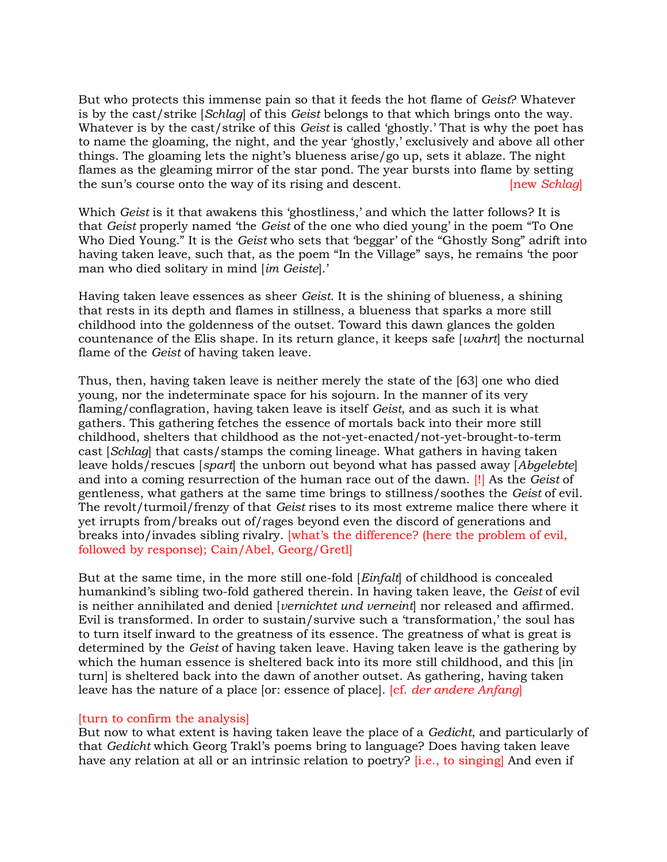But who protects this immense pain so that it feeds the hot flame of Geist? Whatever is by the cast/strike [Schlag] of this Geist belongs to that which brings onto the way. Whatever is by the cast/strike of this *Geist* is called 'ghostly.' That is why the poet has to name the gloaming, the night, and the year 'ghostly,' exclusively and above all other things. The gloaming lets the night's blueness arise/go up, sets it ablaze. The night flames as the gleaming mirror of the star pond. The year bursts into flame by setting the sun's course onto the way of its rising and descent. [new Schlag]

Which *Geist* is it that awakens this 'ghostliness,' and which the latter follows? It is that Geist properly named 'the Geist of the one who died young' in the poem "To One Who Died Young." It is the Geist who sets that 'beggar' of the "Ghostly Song" adrift into having taken leave, such that, as the poem "In the Village" says, he remains 'the poor man who died solitary in mind [im Geiste].'

Having taken leave essences as sheer Geist. It is the shining of blueness, a shining that rests in its depth and flames in stillness, a blueness that sparks a more still childhood into the goldenness of the outset. Toward this dawn glances the golden countenance of the Elis shape. In its return glance, it keeps safe  $[want]$  the nocturnal flame of the Geist of having taken leave.

Thus, then, having taken leave is neither merely the state of the [63] one who died young, nor the indeterminate space for his sojourn. In the manner of its very flaming/conflagration, having taken leave is itself Geist, and as such it is what gathers. This gathering fetches the essence of mortals back into their more still childhood, shelters that childhood as the not-yet-enacted/not-yet-brought-to-term cast [Schlag] that casts/stamps the coming lineage. What gathers in having taken leave holds/rescues [spart] the unborn out beyond what has passed away [*Abgelebte*] and into a coming resurrection of the human race out of the dawn. [!] As the Geist of gentleness, what gathers at the same time brings to stillness/soothes the Geist of evil. The revolt/turmoil/frenzy of that Geist rises to its most extreme malice there where it yet irrupts from/breaks out of/rages beyond even the discord of generations and breaks into/invades sibling rivalry. [what's the difference? (here the problem of evil, followed by response); Cain/Abel, Georg/Gretl]

But at the same time, in the more still one-fold [Einfalt] of childhood is concealed humankind's sibling two-fold gathered therein. In having taken leave, the Geist of evil is neither annihilated and denied *[vernichtet und verneint]* nor released and affirmed. Evil is transformed. In order to sustain/survive such a 'transformation,' the soul has to turn itself inward to the greatness of its essence. The greatness of what is great is determined by the Geist of having taken leave. Having taken leave is the gathering by which the human essence is sheltered back into its more still childhood, and this [in turn] is sheltered back into the dawn of another outset. As gathering, having taken leave has the nature of a place [or: essence of place]. [cf. der andere Anfang]

## [turn to confirm the analysis]

But now to what extent is having taken leave the place of a Gedicht, and particularly of that Gedicht which Georg Trakl's poems bring to language? Does having taken leave have any relation at all or an intrinsic relation to poetry? [i.e., to singing] And even if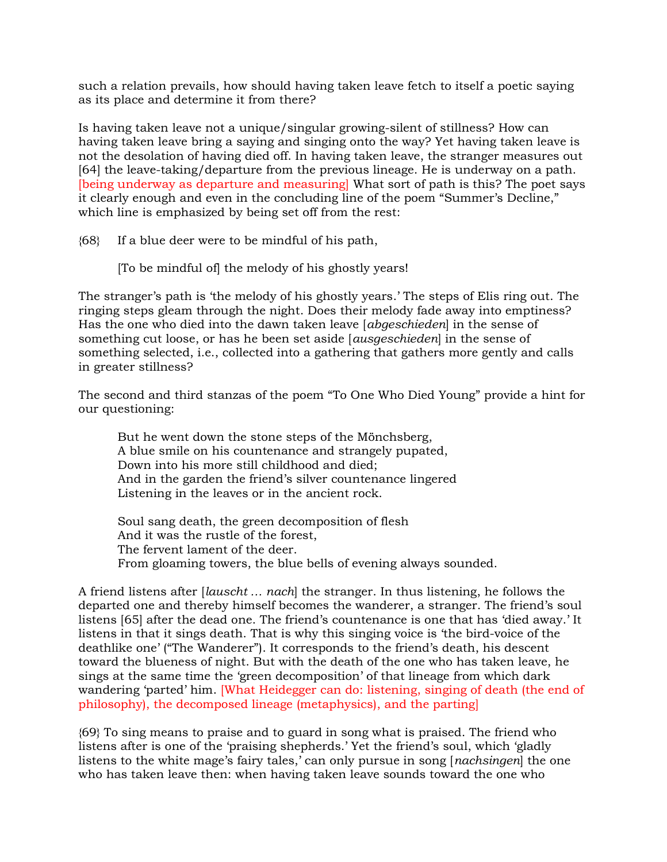such a relation prevails, how should having taken leave fetch to itself a poetic saying as its place and determine it from there?

Is having taken leave not a unique/singular growing-silent of stillness? How can having taken leave bring a saying and singing onto the way? Yet having taken leave is not the desolation of having died off. In having taken leave, the stranger measures out [64] the leave-taking/departure from the previous lineage. He is underway on a path. [being underway as departure and measuring] What sort of path is this? The poet says it clearly enough and even in the concluding line of the poem "Summer's Decline," which line is emphasized by being set off from the rest:

{68} If a blue deer were to be mindful of his path,

[To be mindful of] the melody of his ghostly years!

The stranger's path is 'the melody of his ghostly years.' The steps of Elis ring out. The ringing steps gleam through the night. Does their melody fade away into emptiness? Has the one who died into the dawn taken leave [abgeschieden] in the sense of something cut loose, or has he been set aside [ausgeschieden] in the sense of something selected, i.e., collected into a gathering that gathers more gently and calls in greater stillness?

The second and third stanzas of the poem "To One Who Died Young" provide a hint for our questioning:

But he went down the stone steps of the Mönchsberg, A blue smile on his countenance and strangely pupated, Down into his more still childhood and died; And in the garden the friend's silver countenance lingered Listening in the leaves or in the ancient rock.

 Soul sang death, the green decomposition of flesh And it was the rustle of the forest, The fervent lament of the deer. From gloaming towers, the blue bells of evening always sounded.

A friend listens after [lauscht … nach] the stranger. In thus listening, he follows the departed one and thereby himself becomes the wanderer, a stranger. The friend's soul listens [65] after the dead one. The friend's countenance is one that has 'died away.' It listens in that it sings death. That is why this singing voice is 'the bird-voice of the deathlike one' ("The Wanderer"). It corresponds to the friend's death, his descent toward the blueness of night. But with the death of the one who has taken leave, he sings at the same time the 'green decomposition' of that lineage from which dark wandering 'parted' him. [What Heidegger can do: listening, singing of death (the end of philosophy), the decomposed lineage (metaphysics), and the parting]

{69} To sing means to praise and to guard in song what is praised. The friend who listens after is one of the 'praising shepherds.' Yet the friend's soul, which 'gladly listens to the white mage's fairy tales,' can only pursue in song [nachsingen] the one who has taken leave then: when having taken leave sounds toward the one who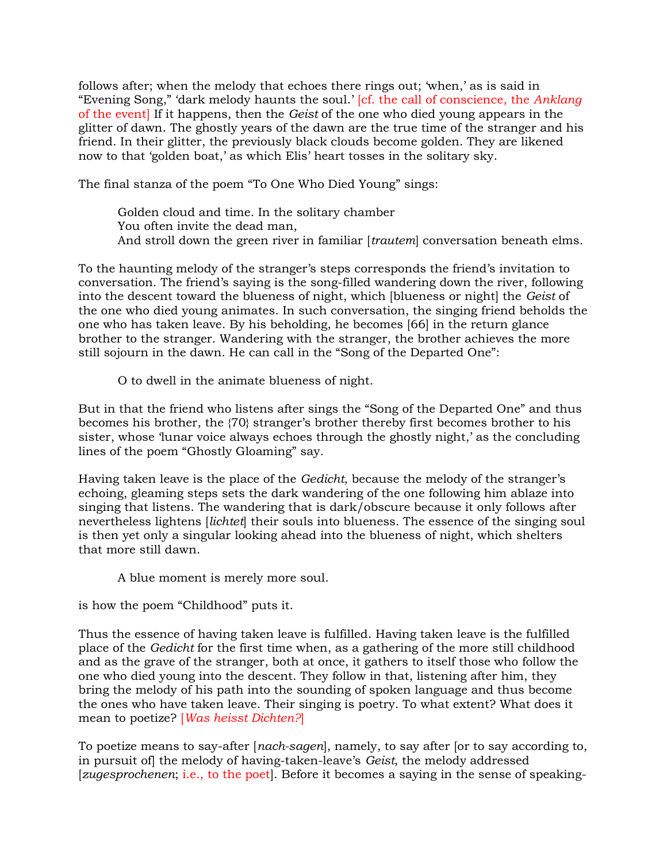follows after; when the melody that echoes there rings out; 'when,' as is said in "Evening Song," 'dark melody haunts the soul.' [cf. the call of conscience, the Anklang of the event] If it happens, then the Geist of the one who died young appears in the glitter of dawn. The ghostly years of the dawn are the true time of the stranger and his friend. In their glitter, the previously black clouds become golden. They are likened now to that 'golden boat,' as which Elis' heart tosses in the solitary sky.

The final stanza of the poem "To One Who Died Young" sings:

 Golden cloud and time. In the solitary chamber You often invite the dead man, And stroll down the green river in familiar [trautem] conversation beneath elms.

To the haunting melody of the stranger's steps corresponds the friend's invitation to conversation. The friend's saying is the song-filled wandering down the river, following into the descent toward the blueness of night, which [blueness or night] the Geist of the one who died young animates. In such conversation, the singing friend beholds the one who has taken leave. By his beholding, he becomes [66] in the return glance brother to the stranger. Wandering with the stranger, the brother achieves the more still sojourn in the dawn. He can call in the "Song of the Departed One":

O to dwell in the animate blueness of night.

But in that the friend who listens after sings the "Song of the Departed One" and thus becomes his brother, the {70} stranger's brother thereby first becomes brother to his sister, whose 'lunar voice always echoes through the ghostly night,' as the concluding lines of the poem "Ghostly Gloaming" say.

Having taken leave is the place of the Gedicht, because the melody of the stranger's echoing, gleaming steps sets the dark wandering of the one following him ablaze into singing that listens. The wandering that is dark/obscure because it only follows after nevertheless lightens *[lichtet]* their souls into blueness. The essence of the singing soul is then yet only a singular looking ahead into the blueness of night, which shelters that more still dawn.

A blue moment is merely more soul.

is how the poem "Childhood" puts it.

Thus the essence of having taken leave is fulfilled. Having taken leave is the fulfilled place of the Gedicht for the first time when, as a gathering of the more still childhood and as the grave of the stranger, both at once, it gathers to itself those who follow the one who died young into the descent. They follow in that, listening after him, they bring the melody of his path into the sounding of spoken language and thus become the ones who have taken leave. Their singing is poetry. To what extent? What does it mean to poetize? [Was heisst Dichten?]

To poetize means to say-after [nach-sagen], namely, to say after [or to say according to, in pursuit of] the melody of having-taken-leave's Geist, the melody addressed [zugesprochenen; i.e., to the poet]. Before it becomes a saying in the sense of speaking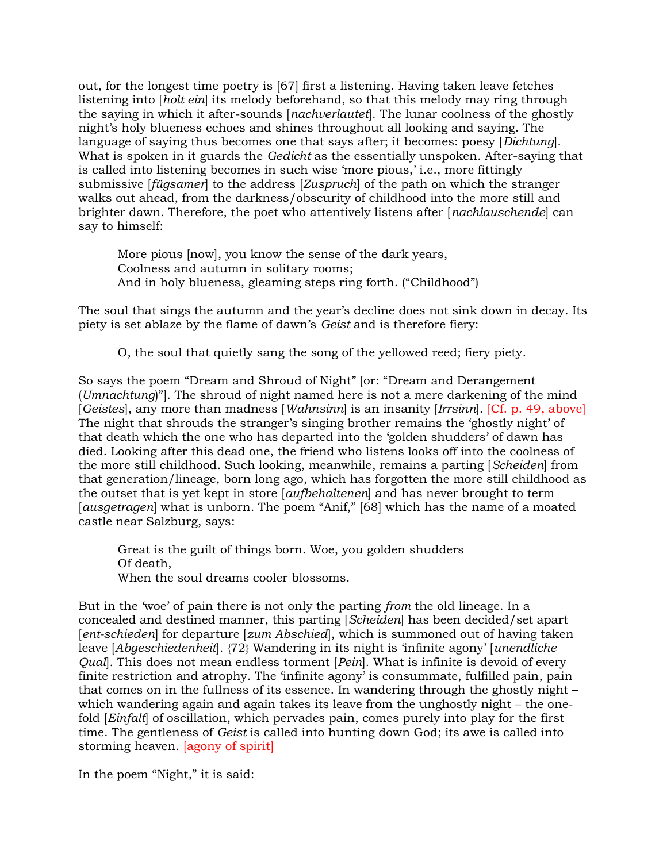out, for the longest time poetry is [67] first a listening. Having taken leave fetches listening into [holt ein] its melody beforehand, so that this melody may ring through the saying in which it after-sounds [nachverlautet]. The lunar coolness of the ghostly night's holy blueness echoes and shines throughout all looking and saying. The language of saying thus becomes one that says after; it becomes: poesy [Dichtung]. What is spoken in it guards the Gedicht as the essentially unspoken. After-saying that is called into listening becomes in such wise 'more pious,' i.e., more fittingly submissive [fügsamer] to the address [Zuspruch] of the path on which the stranger walks out ahead, from the darkness/obscurity of childhood into the more still and brighter dawn. Therefore, the poet who attentively listens after [nachlauschende] can say to himself:

 More pious [now], you know the sense of the dark years, Coolness and autumn in solitary rooms; And in holy blueness, gleaming steps ring forth. ("Childhood")

The soul that sings the autumn and the year's decline does not sink down in decay. Its piety is set ablaze by the flame of dawn's Geist and is therefore fiery:

O, the soul that quietly sang the song of the yellowed reed; fiery piety.

So says the poem "Dream and Shroud of Night" [or: "Dream and Derangement (Umnachtung)"]. The shroud of night named here is not a mere darkening of the mind [Geistes], any more than madness [Wahnsinn] is an insanity [Irrsinn]. [Cf. p. 49, above] The night that shrouds the stranger's singing brother remains the 'ghostly night' of that death which the one who has departed into the 'golden shudders' of dawn has died. Looking after this dead one, the friend who listens looks off into the coolness of the more still childhood. Such looking, meanwhile, remains a parting [Scheiden] from that generation/lineage, born long ago, which has forgotten the more still childhood as the outset that is yet kept in store [aufbehaltenen] and has never brought to term [ausgetragen] what is unborn. The poem "Anif," [68] which has the name of a moated castle near Salzburg, says:

 Great is the guilt of things born. Woe, you golden shudders Of death, When the soul dreams cooler blossoms.

But in the 'woe' of pain there is not only the parting from the old lineage. In a concealed and destined manner, this parting [Scheiden] has been decided/set apart [ent-schieden] for departure [zum Abschied], which is summoned out of having taken leave [Abgeschiedenheit]. {72} Wandering in its night is 'infinite agony' [unendliche Qual]. This does not mean endless torment [Pein]. What is infinite is devoid of every finite restriction and atrophy. The 'infinite agony' is consummate, fulfilled pain, pain that comes on in the fullness of its essence. In wandering through the ghostly night – which wandering again and again takes its leave from the unghostly night – the onefold [Einfalt] of oscillation, which pervades pain, comes purely into play for the first time. The gentleness of Geist is called into hunting down God; its awe is called into storming heaven. [agony of spirit]

In the poem "Night," it is said: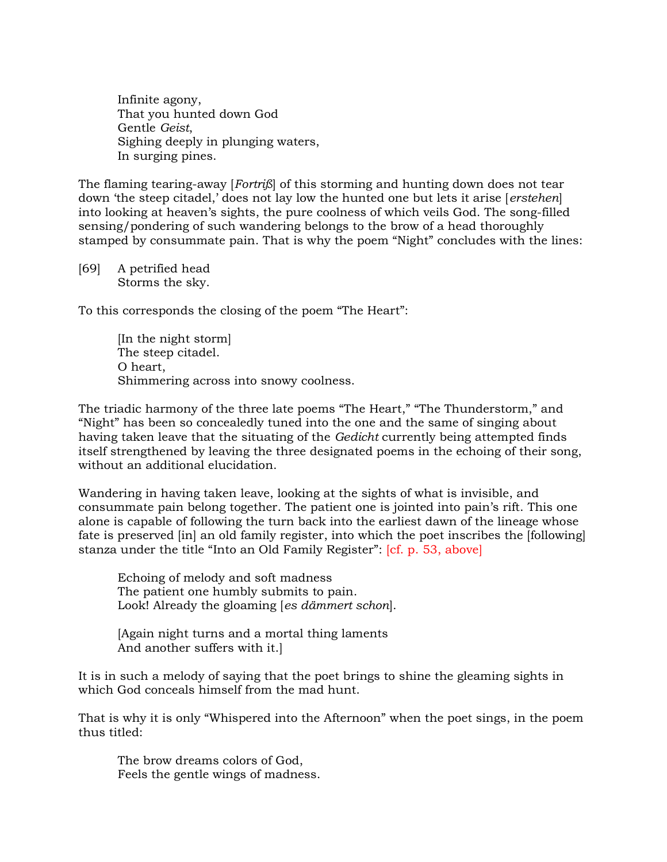Infinite agony, That you hunted down God Gentle Geist, Sighing deeply in plunging waters, In surging pines.

The flaming tearing-away [*Fortriß*] of this storming and hunting down does not tear down 'the steep citadel,' does not lay low the hunted one but lets it arise [erstehen] into looking at heaven's sights, the pure coolness of which veils God. The song-filled sensing/pondering of such wandering belongs to the brow of a head thoroughly stamped by consummate pain. That is why the poem "Night" concludes with the lines:

[69] A petrified head Storms the sky.

To this corresponds the closing of the poem "The Heart":

 [In the night storm] The steep citadel. O heart, Shimmering across into snowy coolness.

The triadic harmony of the three late poems "The Heart," "The Thunderstorm," and "Night" has been so concealedly tuned into the one and the same of singing about having taken leave that the situating of the Gedicht currently being attempted finds itself strengthened by leaving the three designated poems in the echoing of their song, without an additional elucidation.

Wandering in having taken leave, looking at the sights of what is invisible, and consummate pain belong together. The patient one is jointed into pain's rift. This one alone is capable of following the turn back into the earliest dawn of the lineage whose fate is preserved [in] an old family register, into which the poet inscribes the [following] stanza under the title "Into an Old Family Register": [cf. p. 53, above]

 Echoing of melody and soft madness The patient one humbly submits to pain. Look! Already the gloaming [es dämmert schon].

 [Again night turns and a mortal thing laments And another suffers with it.]

It is in such a melody of saying that the poet brings to shine the gleaming sights in which God conceals himself from the mad hunt.

That is why it is only "Whispered into the Afternoon" when the poet sings, in the poem thus titled:

 The brow dreams colors of God, Feels the gentle wings of madness.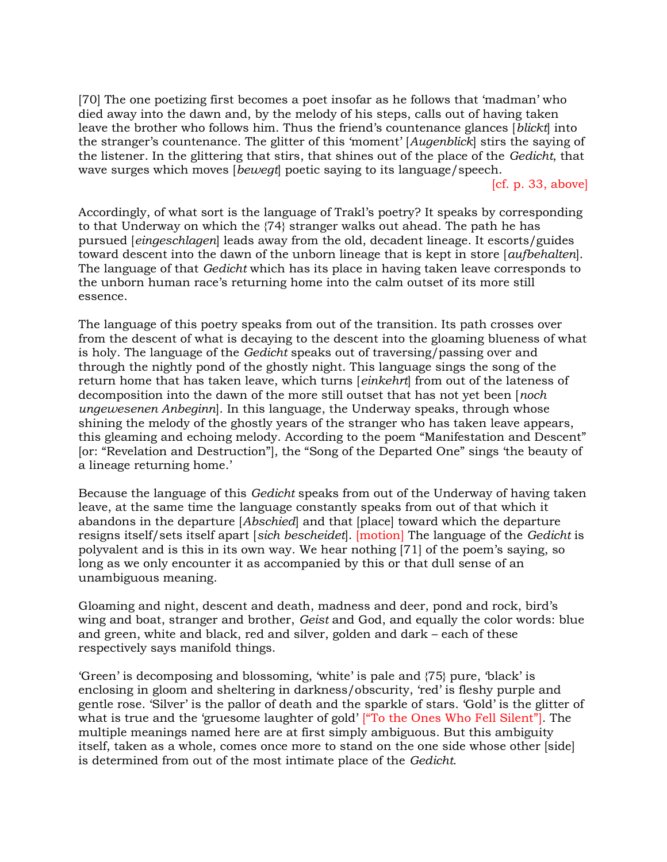[70] The one poetizing first becomes a poet insofar as he follows that 'madman' who died away into the dawn and, by the melody of his steps, calls out of having taken leave the brother who follows him. Thus the friend's countenance glances [blickt] into the stranger's countenance. The glitter of this 'moment' [Augenblick] stirs the saying of the listener. In the glittering that stirs, that shines out of the place of the Gedicht, that wave surges which moves *[beweqt]* poetic saying to its language/speech.

 $[cf. p. 33, above]$ 

Accordingly, of what sort is the language of Trakl's poetry? It speaks by corresponding to that Underway on which the {74} stranger walks out ahead. The path he has pursued [eingeschlagen] leads away from the old, decadent lineage. It escorts/guides toward descent into the dawn of the unborn lineage that is kept in store [aufbehalten]. The language of that Gedicht which has its place in having taken leave corresponds to the unborn human race's returning home into the calm outset of its more still essence.

The language of this poetry speaks from out of the transition. Its path crosses over from the descent of what is decaying to the descent into the gloaming blueness of what is holy. The language of the Gedicht speaks out of traversing/passing over and through the nightly pond of the ghostly night. This language sings the song of the return home that has taken leave, which turns [einkehrt] from out of the lateness of decomposition into the dawn of the more still outset that has not yet been [noch ungewesenen Anbeginn]. In this language, the Underway speaks, through whose shining the melody of the ghostly years of the stranger who has taken leave appears, this gleaming and echoing melody. According to the poem "Manifestation and Descent" [or: "Revelation and Destruction"], the "Song of the Departed One" sings 'the beauty of a lineage returning home.'

Because the language of this Gedicht speaks from out of the Underway of having taken leave, at the same time the language constantly speaks from out of that which it abandons in the departure [Abschied] and that [place] toward which the departure resigns itself/sets itself apart [sich bescheidet]. [motion] The language of the Gedicht is polyvalent and is this in its own way. We hear nothing [71] of the poem's saying, so long as we only encounter it as accompanied by this or that dull sense of an unambiguous meaning.

Gloaming and night, descent and death, madness and deer, pond and rock, bird's wing and boat, stranger and brother, Geist and God, and equally the color words: blue and green, white and black, red and silver, golden and dark – each of these respectively says manifold things.

'Green' is decomposing and blossoming, 'white' is pale and {75} pure, 'black' is enclosing in gloom and sheltering in darkness/obscurity, 'red' is fleshy purple and gentle rose. 'Silver' is the pallor of death and the sparkle of stars. 'Gold' is the glitter of what is true and the 'gruesome laughter of gold' ["To the Ones Who Fell Silent"]. The multiple meanings named here are at first simply ambiguous. But this ambiguity itself, taken as a whole, comes once more to stand on the one side whose other [side] is determined from out of the most intimate place of the Gedicht.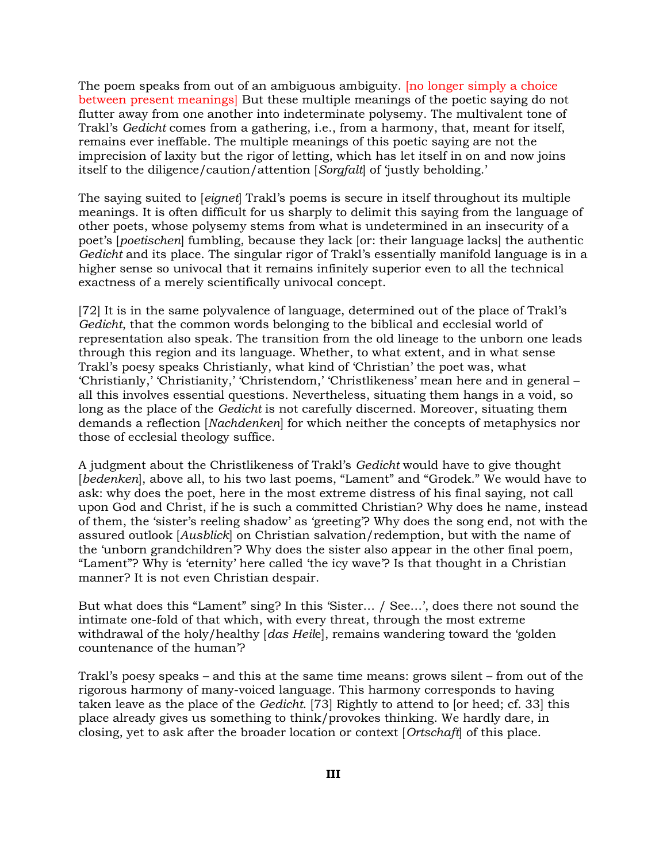The poem speaks from out of an ambiguous ambiguity. [no longer simply a choice between present meanings] But these multiple meanings of the poetic saying do not flutter away from one another into indeterminate polysemy. The multivalent tone of Trakl's Gedicht comes from a gathering, i.e., from a harmony, that, meant for itself, remains ever ineffable. The multiple meanings of this poetic saying are not the imprecision of laxity but the rigor of letting, which has let itself in on and now joins itself to the diligence/caution/attention [Sorgfalt] of 'justly beholding.'

The saying suited to [eignet] Trakl's poems is secure in itself throughout its multiple meanings. It is often difficult for us sharply to delimit this saying from the language of other poets, whose polysemy stems from what is undetermined in an insecurity of a poet's [poetischen] fumbling, because they lack [or: their language lacks] the authentic Gedicht and its place. The singular rigor of Trakl's essentially manifold language is in a higher sense so univocal that it remains infinitely superior even to all the technical exactness of a merely scientifically univocal concept.

[72] It is in the same polyvalence of language, determined out of the place of Trakl's Gedicht, that the common words belonging to the biblical and ecclesial world of representation also speak. The transition from the old lineage to the unborn one leads through this region and its language. Whether, to what extent, and in what sense Trakl's poesy speaks Christianly, what kind of 'Christian' the poet was, what 'Christianly,' 'Christianity,' 'Christendom,' 'Christlikeness' mean here and in general – all this involves essential questions. Nevertheless, situating them hangs in a void, so long as the place of the Gedicht is not carefully discerned. Moreover, situating them demands a reflection [Nachdenken] for which neither the concepts of metaphysics nor those of ecclesial theology suffice.

A judgment about the Christlikeness of Trakl's Gedicht would have to give thought [bedenken], above all, to his two last poems, "Lament" and "Grodek." We would have to ask: why does the poet, here in the most extreme distress of his final saying, not call upon God and Christ, if he is such a committed Christian? Why does he name, instead of them, the 'sister's reeling shadow' as 'greeting'? Why does the song end, not with the assured outlook [Ausblick] on Christian salvation/redemption, but with the name of the 'unborn grandchildren'? Why does the sister also appear in the other final poem, "Lament"? Why is 'eternity' here called 'the icy wave'? Is that thought in a Christian manner? It is not even Christian despair.

But what does this "Lament" sing? In this 'Sister… / See…', does there not sound the intimate one-fold of that which, with every threat, through the most extreme withdrawal of the holy/healthy [das Heile], remains wandering toward the 'golden countenance of the human'?

Trakl's poesy speaks – and this at the same time means: grows silent – from out of the rigorous harmony of many-voiced language. This harmony corresponds to having taken leave as the place of the Gedicht. [73] Rightly to attend to [or heed; cf. 33] this place already gives us something to think/provokes thinking. We hardly dare, in closing, yet to ask after the broader location or context [Ortschaft] of this place.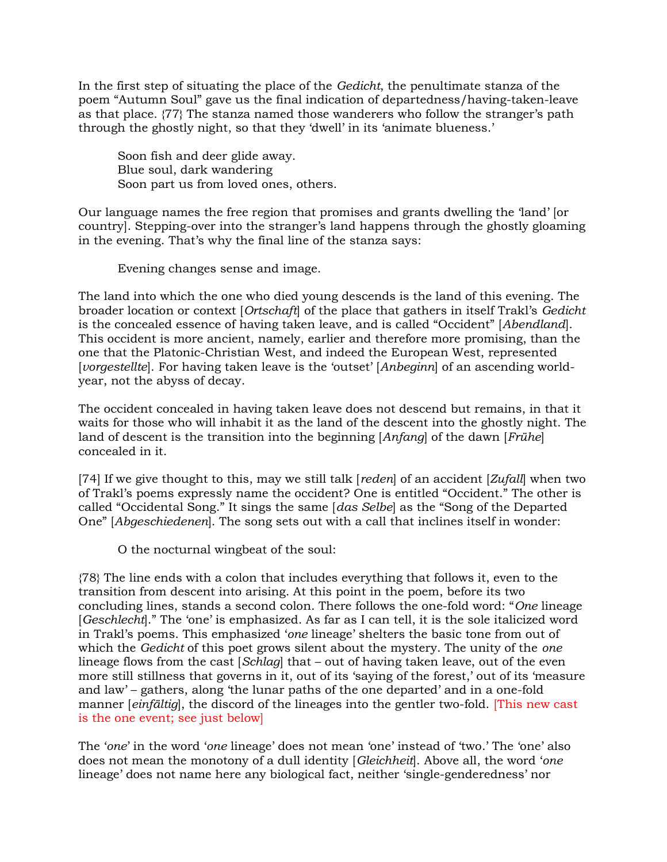In the first step of situating the place of the Gedicht, the penultimate stanza of the poem "Autumn Soul" gave us the final indication of departedness/having-taken-leave as that place. {77} The stanza named those wanderers who follow the stranger's path through the ghostly night, so that they 'dwell' in its 'animate blueness.'

 Soon fish and deer glide away. Blue soul, dark wandering Soon part us from loved ones, others.

Our language names the free region that promises and grants dwelling the 'land' [or country]. Stepping-over into the stranger's land happens through the ghostly gloaming in the evening. That's why the final line of the stanza says:

Evening changes sense and image.

The land into which the one who died young descends is the land of this evening. The broader location or context [Ortschaft] of the place that gathers in itself Trakl's Gedicht is the concealed essence of having taken leave, and is called "Occident" [Abendland]. This occident is more ancient, namely, earlier and therefore more promising, than the one that the Platonic-Christian West, and indeed the European West, represented [vorgestellte]. For having taken leave is the 'outset' [Anbeginn] of an ascending worldyear, not the abyss of decay.

The occident concealed in having taken leave does not descend but remains, in that it waits for those who will inhabit it as the land of the descent into the ghostly night. The land of descent is the transition into the beginning [Anfang] of the dawn [Frühe] concealed in it.

[74] If we give thought to this, may we still talk [reden] of an accident  $[Zufall]$  when two of Trakl's poems expressly name the occident? One is entitled "Occident." The other is called "Occidental Song." It sings the same [das Selbe] as the "Song of the Departed One" [Abgeschiedenen]. The song sets out with a call that inclines itself in wonder:

O the nocturnal wingbeat of the soul:

{78} The line ends with a colon that includes everything that follows it, even to the transition from descent into arising. At this point in the poem, before its two concluding lines, stands a second colon. There follows the one-fold word: "One lineage [Geschlecht]." The 'one' is emphasized. As far as I can tell, it is the sole italicized word in Trakl's poems. This emphasized 'one lineage' shelters the basic tone from out of which the Gedicht of this poet grows silent about the mystery. The unity of the one lineage flows from the cast  $[Schlag]$  that – out of having taken leave, out of the even more still stillness that governs in it, out of its 'saying of the forest,' out of its 'measure and law' – gathers, along 'the lunar paths of the one departed' and in a one-fold manner *[einfältig]*, the discord of the lineages into the gentler two-fold. *[This new cast*] is the one event; see just below]

The 'one' in the word 'one lineage' does not mean 'one' instead of 'two.' The 'one' also does not mean the monotony of a dull identity [Gleichheit]. Above all, the word 'one lineage' does not name here any biological fact, neither 'single-genderedness' nor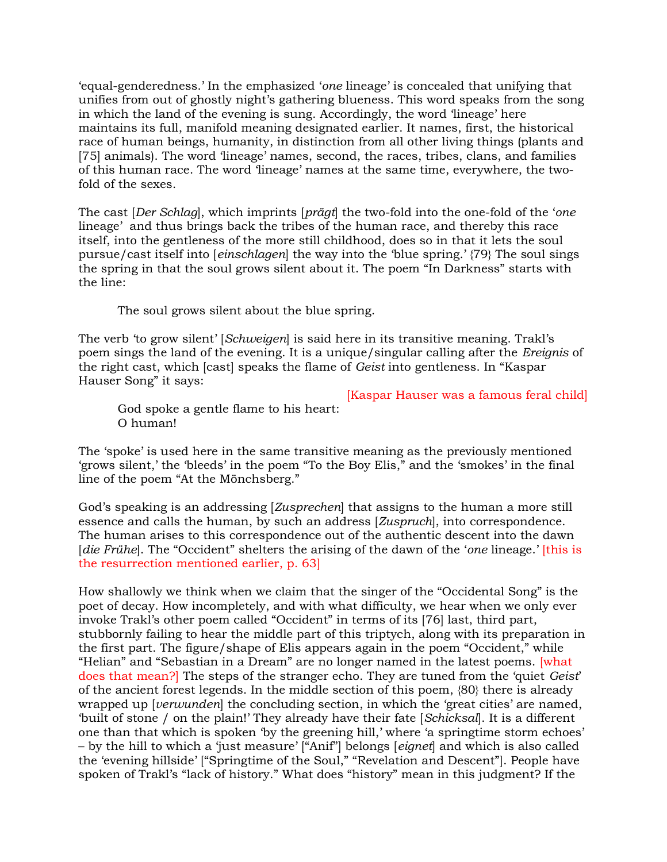'equal-genderedness.' In the emphasized 'one lineage' is concealed that unifying that unifies from out of ghostly night's gathering blueness. This word speaks from the song in which the land of the evening is sung. Accordingly, the word 'lineage' here maintains its full, manifold meaning designated earlier. It names, first, the historical race of human beings, humanity, in distinction from all other living things (plants and [75] animals). The word 'lineage' names, second, the races, tribes, clans, and families of this human race. The word 'lineage' names at the same time, everywhere, the twofold of the sexes.

The cast *[Der Schlag]*, which imprints *[prägt]* the two-fold into the one-fold of the 'one lineage' and thus brings back the tribes of the human race, and thereby this race itself, into the gentleness of the more still childhood, does so in that it lets the soul pursue/cast itself into [einschlagen] the way into the 'blue spring.' {79} The soul sings the spring in that the soul grows silent about it. The poem "In Darkness" starts with the line:

The soul grows silent about the blue spring.

The verb 'to grow silent' [Schweigen] is said here in its transitive meaning. Trakl's poem sings the land of the evening. It is a unique/singular calling after the Ereignis of the right cast, which [cast] speaks the flame of Geist into gentleness. In "Kaspar Hauser Song" it says:

[Kaspar Hauser was a famous feral child]

 God spoke a gentle flame to his heart: O human!

The 'spoke' is used here in the same transitive meaning as the previously mentioned 'grows silent,' the 'bleeds' in the poem "To the Boy Elis," and the 'smokes' in the final line of the poem "At the Mönchsberg."

God's speaking is an addressing [Zusprechen] that assigns to the human a more still essence and calls the human, by such an address [Zuspruch], into correspondence. The human arises to this correspondence out of the authentic descent into the dawn [die Frühe]. The "Occident" shelters the arising of the dawn of the 'one lineage.' [this is the resurrection mentioned earlier, p. 63]

How shallowly we think when we claim that the singer of the "Occidental Song" is the poet of decay. How incompletely, and with what difficulty, we hear when we only ever invoke Trakl's other poem called "Occident" in terms of its [76] last, third part, stubbornly failing to hear the middle part of this triptych, along with its preparation in the first part. The figure/shape of Elis appears again in the poem "Occident," while "Helian" and "Sebastian in a Dream" are no longer named in the latest poems. [what does that mean?] The steps of the stranger echo. They are tuned from the 'quiet Geist' of the ancient forest legends. In the middle section of this poem, {80} there is already wrapped up [*verwunden*] the concluding section, in which the 'great cities' are named, 'built of stone / on the plain!' They already have their fate [Schicksal]. It is a different one than that which is spoken 'by the greening hill,' where 'a springtime storm echoes' – by the hill to which a 'just measure' ["Anif"] belongs [eignet] and which is also called the 'evening hillside' ["Springtime of the Soul," "Revelation and Descent"]. People have spoken of Trakl's "lack of history." What does "history" mean in this judgment? If the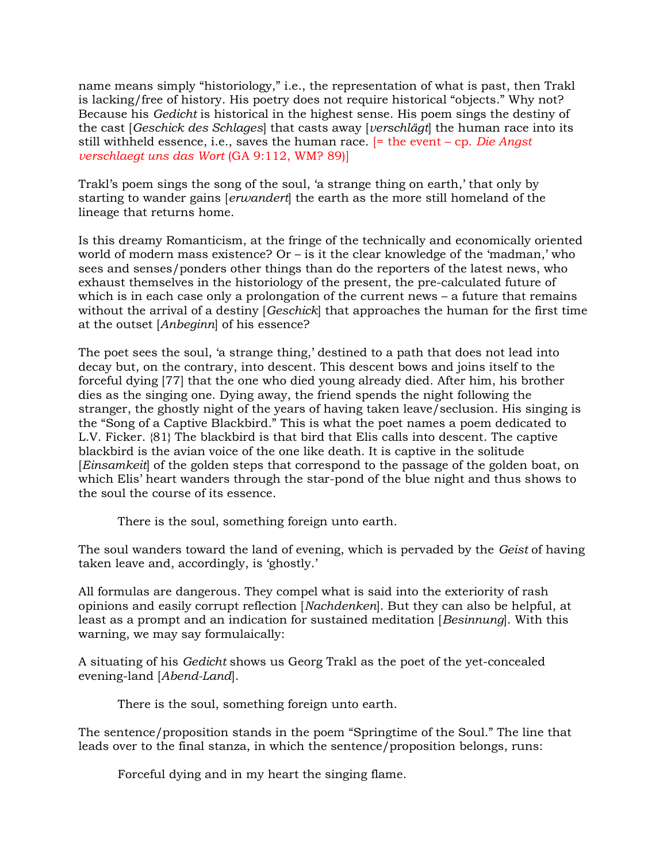name means simply "historiology," i.e., the representation of what is past, then Trakl is lacking/free of history. His poetry does not require historical "objects." Why not? Because his Gedicht is historical in the highest sense. His poem sings the destiny of the cast [Geschick des Schlages] that casts away [verschlägt] the human race into its still withheld essence, i.e., saves the human race.  $=$  the event – cp. Die Angst verschlaegt uns das Wort (GA 9:112, WM? 89)]

Trakl's poem sings the song of the soul, 'a strange thing on earth,' that only by starting to wander gains [erwandert] the earth as the more still homeland of the lineage that returns home.

Is this dreamy Romanticism, at the fringe of the technically and economically oriented world of modern mass existence? Or – is it the clear knowledge of the 'madman,' who sees and senses/ponders other things than do the reporters of the latest news, who exhaust themselves in the historiology of the present, the pre-calculated future of which is in each case only a prolongation of the current news – a future that remains without the arrival of a destiny [*Geschick*] that approaches the human for the first time at the outset [Anbeginn] of his essence?

The poet sees the soul, 'a strange thing,' destined to a path that does not lead into decay but, on the contrary, into descent. This descent bows and joins itself to the forceful dying [77] that the one who died young already died. After him, his brother dies as the singing one. Dying away, the friend spends the night following the stranger, the ghostly night of the years of having taken leave/seclusion. His singing is the "Song of a Captive Blackbird." This is what the poet names a poem dedicated to L.V. Ficker. {81} The blackbird is that bird that Elis calls into descent. The captive blackbird is the avian voice of the one like death. It is captive in the solitude [Einsamkeit] of the golden steps that correspond to the passage of the golden boat, on which Elis' heart wanders through the star-pond of the blue night and thus shows to the soul the course of its essence.

There is the soul, something foreign unto earth.

The soul wanders toward the land of evening, which is pervaded by the Geist of having taken leave and, accordingly, is 'ghostly.'

All formulas are dangerous. They compel what is said into the exteriority of rash opinions and easily corrupt reflection [Nachdenken]. But they can also be helpful, at least as a prompt and an indication for sustained meditation [Besinnung]. With this warning, we may say formulaically:

A situating of his Gedicht shows us Georg Trakl as the poet of the yet-concealed evening-land [Abend-Land].

There is the soul, something foreign unto earth.

The sentence/proposition stands in the poem "Springtime of the Soul." The line that leads over to the final stanza, in which the sentence/proposition belongs, runs:

Forceful dying and in my heart the singing flame.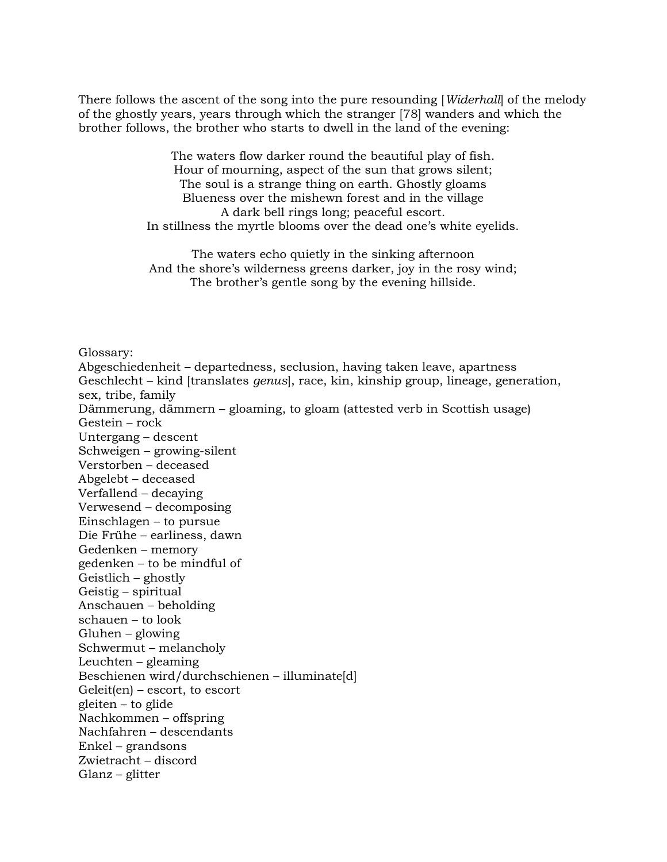There follows the ascent of the song into the pure resounding [Widerhall] of the melody of the ghostly years, years through which the stranger [78] wanders and which the brother follows, the brother who starts to dwell in the land of the evening:

> The waters flow darker round the beautiful play of fish. Hour of mourning, aspect of the sun that grows silent; The soul is a strange thing on earth. Ghostly gloams Blueness over the mishewn forest and in the village A dark bell rings long; peaceful escort. In stillness the myrtle blooms over the dead one's white eyelids.

> The waters echo quietly in the sinking afternoon And the shore's wilderness greens darker, joy in the rosy wind; The brother's gentle song by the evening hillside.

Glossary:

Abgeschiedenheit – departedness, seclusion, having taken leave, apartness Geschlecht – kind [translates genus], race, kin, kinship group, lineage, generation, sex, tribe, family Dämmerung, dämmern – gloaming, to gloam (attested verb in Scottish usage) Gestein – rock Untergang – descent Schweigen – growing-silent Verstorben – deceased Abgelebt – deceased Verfallend – decaying Verwesend – decomposing Einschlagen – to pursue Die Frühe – earliness, dawn Gedenken – memory gedenken – to be mindful of Geistlich – ghostly Geistig – spiritual Anschauen – beholding schauen – to look Gluhen – glowing Schwermut – melancholy Leuchten – gleaming Beschienen wird/durchschienen – illuminate[d] Geleit(en) – escort, to escort gleiten – to glide Nachkommen – offspring Nachfahren – descendants Enkel – grandsons Zwietracht – discord Glanz – glitter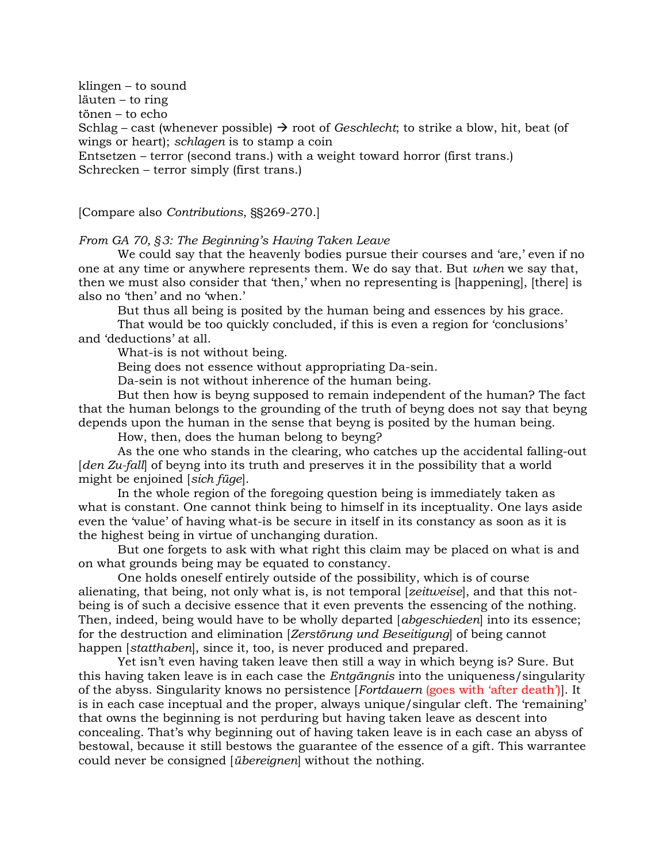klingen – to sound läuten – to ring tönen – to echo Schlag – cast (whenever possible)  $\rightarrow$  root of *Geschlecht*; to strike a blow, hit, beat (of wings or heart); schlagen is to stamp a coin Entsetzen – terror (second trans.) with a weight toward horror (first trans.) Schrecken – terror simply (first trans.)

[Compare also Contributions, §§269-270.]

From GA 70, §3: The Beginning's Having Taken Leave

We could say that the heavenly bodies pursue their courses and 'are,' even if no one at any time or anywhere represents them. We do say that. But when we say that, then we must also consider that 'then,' when no representing is [happening], [there] is also no 'then' and no 'when.'

But thus all being is posited by the human being and essences by his grace.

That would be too quickly concluded, if this is even a region for 'conclusions' and 'deductions' at all.

What-is is not without being.

Being does not essence without appropriating Da-sein.

Da-sein is not without inherence of the human being.

 But then how is beyng supposed to remain independent of the human? The fact that the human belongs to the grounding of the truth of beyng does not say that beyng depends upon the human in the sense that beyng is posited by the human being.

How, then, does the human belong to beyng?

 As the one who stands in the clearing, who catches up the accidental falling-out [den Zu-fall] of beyng into its truth and preserves it in the possibility that a world might be enjoined [sich füge].

 In the whole region of the foregoing question being is immediately taken as what is constant. One cannot think being to himself in its inceptuality. One lays aside even the 'value' of having what-is be secure in itself in its constancy as soon as it is the highest being in virtue of unchanging duration.

 But one forgets to ask with what right this claim may be placed on what is and on what grounds being may be equated to constancy.

 One holds oneself entirely outside of the possibility, which is of course alienating, that being, not only what is, is not temporal [zeitweise], and that this notbeing is of such a decisive essence that it even prevents the essencing of the nothing. Then, indeed, being would have to be wholly departed [abgeschieden] into its essence; for the destruction and elimination [Zerstörung und Beseitigung] of being cannot happen [statthaben], since it, too, is never produced and prepared.

 Yet isn't even having taken leave then still a way in which beyng is? Sure. But this having taken leave is in each case the Entgängnis into the uniqueness/singularity of the abyss. Singularity knows no persistence [Fortdauern (goes with 'after death')]. It is in each case inceptual and the proper, always unique/singular cleft. The 'remaining' that owns the beginning is not perduring but having taken leave as descent into concealing. That's why beginning out of having taken leave is in each case an abyss of bestowal, because it still bestows the guarantee of the essence of a gift. This warrantee could never be consigned [übereignen] without the nothing.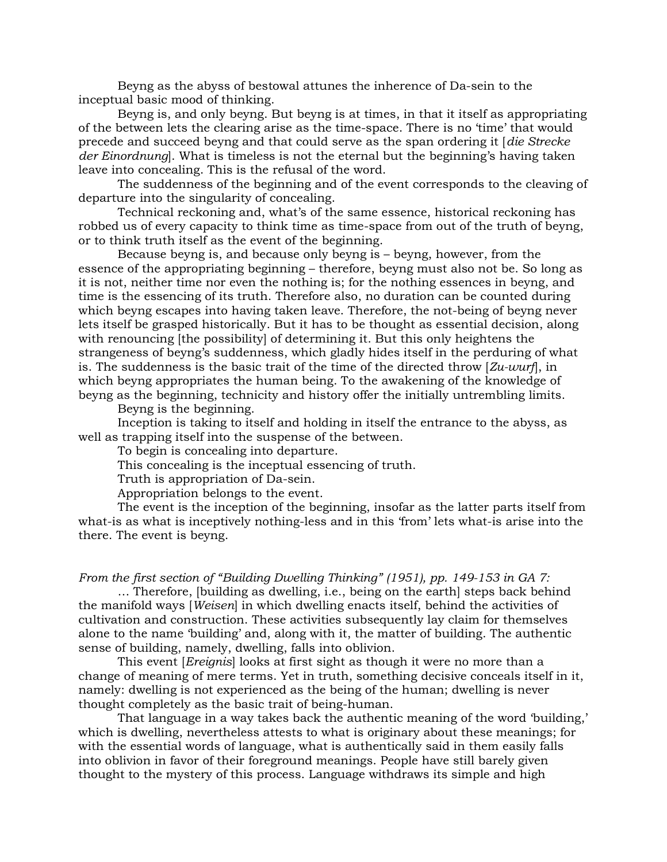Beyng as the abyss of bestowal attunes the inherence of Da-sein to the inceptual basic mood of thinking.

 Beyng is, and only beyng. But beyng is at times, in that it itself as appropriating of the between lets the clearing arise as the time-space. There is no 'time' that would precede and succeed beyng and that could serve as the span ordering it [die Strecke der Einordnung]. What is timeless is not the eternal but the beginning's having taken leave into concealing. This is the refusal of the word.

 The suddenness of the beginning and of the event corresponds to the cleaving of departure into the singularity of concealing.

 Technical reckoning and, what's of the same essence, historical reckoning has robbed us of every capacity to think time as time-space from out of the truth of beyng, or to think truth itself as the event of the beginning.

 Because beyng is, and because only beyng is – beyng, however, from the essence of the appropriating beginning – therefore, beyng must also not be. So long as it is not, neither time nor even the nothing is; for the nothing essences in beyng, and time is the essencing of its truth. Therefore also, no duration can be counted during which beyng escapes into having taken leave. Therefore, the not-being of beyng never lets itself be grasped historically. But it has to be thought as essential decision, along with renouncing [the possibility] of determining it. But this only heightens the strangeness of beyng's suddenness, which gladly hides itself in the perduring of what is. The suddenness is the basic trait of the time of the directed throw  $Zu$ -wurf, in which beyng appropriates the human being. To the awakening of the knowledge of beyng as the beginning, technicity and history offer the initially untrembling limits.

Beyng is the beginning.

 Inception is taking to itself and holding in itself the entrance to the abyss, as well as trapping itself into the suspense of the between.

To begin is concealing into departure.

This concealing is the inceptual essencing of truth.

Truth is appropriation of Da-sein.

Appropriation belongs to the event.

 The event is the inception of the beginning, insofar as the latter parts itself from what-is as what is inceptively nothing-less and in this 'from' lets what-is arise into the there. The event is beyng.

From the first section of "Building Dwelling Thinking" (1951), pp. 149-153 in GA 7:

 … Therefore, [building as dwelling, i.e., being on the earth] steps back behind the manifold ways [Weisen] in which dwelling enacts itself, behind the activities of cultivation and construction. These activities subsequently lay claim for themselves alone to the name 'building' and, along with it, the matter of building. The authentic sense of building, namely, dwelling, falls into oblivion.

This event *[Ereignis]* looks at first sight as though it were no more than a change of meaning of mere terms. Yet in truth, something decisive conceals itself in it, namely: dwelling is not experienced as the being of the human; dwelling is never thought completely as the basic trait of being-human.

 That language in a way takes back the authentic meaning of the word 'building,' which is dwelling, nevertheless attests to what is originary about these meanings; for with the essential words of language, what is authentically said in them easily falls into oblivion in favor of their foreground meanings. People have still barely given thought to the mystery of this process. Language withdraws its simple and high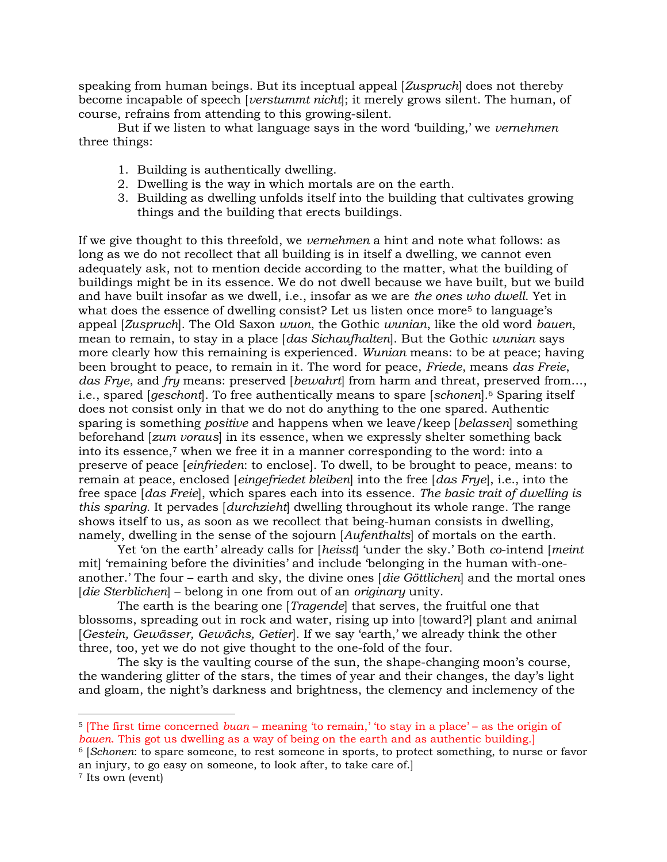speaking from human beings. But its inceptual appeal [Zuspruch] does not thereby become incapable of speech [*verstummt nicht*]; it merely grows silent. The human, of course, refrains from attending to this growing-silent.

 But if we listen to what language says in the word 'building,' we vernehmen three things:

- 1. Building is authentically dwelling.
- 2. Dwelling is the way in which mortals are on the earth.
- 3. Building as dwelling unfolds itself into the building that cultivates growing things and the building that erects buildings.

If we give thought to this threefold, we vernehmen a hint and note what follows: as long as we do not recollect that all building is in itself a dwelling, we cannot even adequately ask, not to mention decide according to the matter, what the building of buildings might be in its essence. We do not dwell because we have built, but we build and have built insofar as we dwell, i.e., insofar as we are the ones who dwell. Yet in what does the essence of dwelling consist? Let us listen once more<sup>5</sup> to language's appeal [Zuspruch]. The Old Saxon wuon, the Gothic wunian, like the old word bauen, mean to remain, to stay in a place [das Sichaufhalten]. But the Gothic wunian says more clearly how this remaining is experienced. Wunian means: to be at peace; having been brought to peace, to remain in it. The word for peace, Friede, means das Freie, das Frye, and fry means: preserved [bewahrt] from harm and threat, preserved from..., i.e., spared [geschont]. To free authentically means to spare [schonen].<sup>6</sup> Sparing itself does not consist only in that we do not do anything to the one spared. Authentic sparing is something *positive* and happens when we leave/keep [*belassen*] something beforehand [zum voraus] in its essence, when we expressly shelter something back into its essence,7 when we free it in a manner corresponding to the word: into a preserve of peace [einfrieden: to enclose]. To dwell, to be brought to peace, means: to remain at peace, enclosed [eingefriedet bleiben] into the free [das Frye], i.e., into the free space [das Freie], which spares each into its essence. The basic trait of dwelling is this sparing. It pervades [*durchzieht*] dwelling throughout its whole range. The range shows itself to us, as soon as we recollect that being-human consists in dwelling, namely, dwelling in the sense of the sojourn [Aufenthalts] of mortals on the earth.

Yet 'on the earth' already calls for [heisst] 'under the sky.' Both co-intend [meint] mit] 'remaining before the divinities' and include 'belonging in the human with-oneanother.' The four – earth and sky, the divine ones  $\{die Götlichen\}$  and the mortal ones [die Sterblichen] – belong in one from out of an originary unity.

The earth is the bearing one [*Tragende*] that serves, the fruitful one that blossoms, spreading out in rock and water, rising up into [toward?] plant and animal [Gestein, Gewässer, Gewächs, Getier]. If we say 'earth,' we already think the other three, too, yet we do not give thought to the one-fold of the four.

 The sky is the vaulting course of the sun, the shape-changing moon's course, the wandering glitter of the stars, the times of year and their changes, the day's light and gloam, the night's darkness and brightness, the clemency and inclemency of the

<sup>5</sup> [The first time concerned buan – meaning 'to remain,' 'to stay in a place' – as the origin of bauen. This got us dwelling as a way of being on the earth and as authentic building.]

<sup>6</sup> [Schonen: to spare someone, to rest someone in sports, to protect something, to nurse or favor an injury, to go easy on someone, to look after, to take care of.]

<sup>7</sup> Its own (event)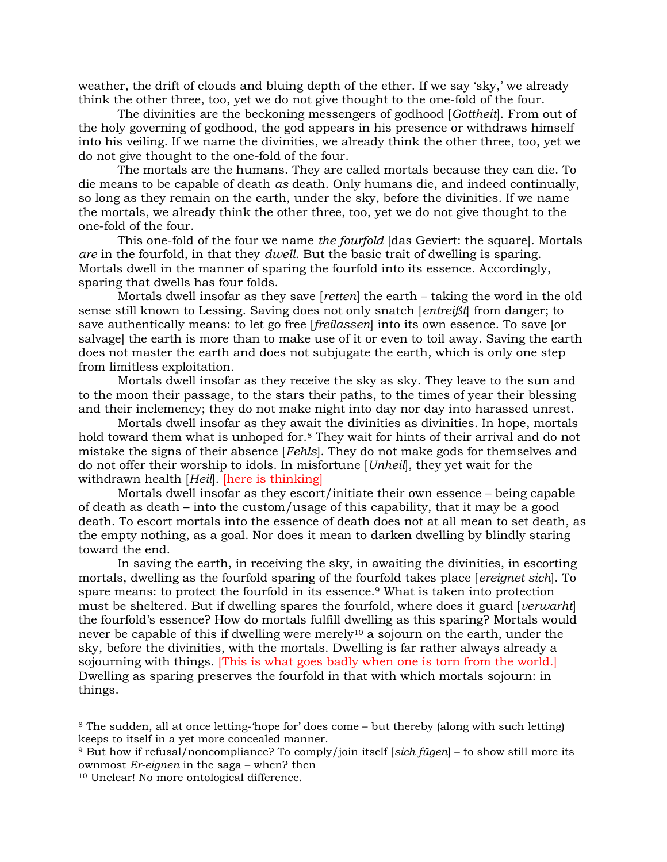weather, the drift of clouds and bluing depth of the ether. If we say 'sky,' we already think the other three, too, yet we do not give thought to the one-fold of the four.

The divinities are the beckoning messengers of godhood [Gottheit]. From out of the holy governing of godhood, the god appears in his presence or withdraws himself into his veiling. If we name the divinities, we already think the other three, too, yet we do not give thought to the one-fold of the four.

 The mortals are the humans. They are called mortals because they can die. To die means to be capable of death as death. Only humans die, and indeed continually, so long as they remain on the earth, under the sky, before the divinities. If we name the mortals, we already think the other three, too, yet we do not give thought to the one-fold of the four.

This one-fold of the four we name the fourfold (das Geviert: the square). Mortals are in the fourfold, in that they dwell. But the basic trait of dwelling is sparing. Mortals dwell in the manner of sparing the fourfold into its essence. Accordingly, sparing that dwells has four folds.

 Mortals dwell insofar as they save [retten] the earth – taking the word in the old sense still known to Lessing. Saving does not only snatch [entreißt] from danger; to save authentically means: to let go free [freilassen] into its own essence. To save [or salvage] the earth is more than to make use of it or even to toil away. Saving the earth does not master the earth and does not subjugate the earth, which is only one step from limitless exploitation.

 Mortals dwell insofar as they receive the sky as sky. They leave to the sun and to the moon their passage, to the stars their paths, to the times of year their blessing and their inclemency; they do not make night into day nor day into harassed unrest.

 Mortals dwell insofar as they await the divinities as divinities. In hope, mortals hold toward them what is unhoped for.8 They wait for hints of their arrival and do not mistake the signs of their absence [Fehls]. They do not make gods for themselves and do not offer their worship to idols. In misfortune [Unheil], they yet wait for the withdrawn health [Heil]. [here is thinking]

 Mortals dwell insofar as they escort/initiate their own essence – being capable of death as death – into the custom/usage of this capability, that it may be a good death. To escort mortals into the essence of death does not at all mean to set death, as the empty nothing, as a goal. Nor does it mean to darken dwelling by blindly staring toward the end.

 In saving the earth, in receiving the sky, in awaiting the divinities, in escorting mortals, dwelling as the fourfold sparing of the fourfold takes place [ereignet sich]. To spare means: to protect the fourfold in its essence.9 What is taken into protection must be sheltered. But if dwelling spares the fourfold, where does it guard [*verwarht*] the fourfold's essence? How do mortals fulfill dwelling as this sparing? Mortals would never be capable of this if dwelling were merely<sup>10</sup> a sojourn on the earth, under the sky, before the divinities, with the mortals. Dwelling is far rather always already a sojourning with things. [This is what goes badly when one is torn from the world.] Dwelling as sparing preserves the fourfold in that with which mortals sojourn: in things.

<sup>8</sup> The sudden, all at once letting-'hope for' does come – but thereby (along with such letting) keeps to itself in a yet more concealed manner.

<sup>9</sup> But how if refusal/noncompliance? To comply/join itself [sich fügen] – to show still more its ownmost Er-eignen in the saga – when? then

<sup>10</sup> Unclear! No more ontological difference.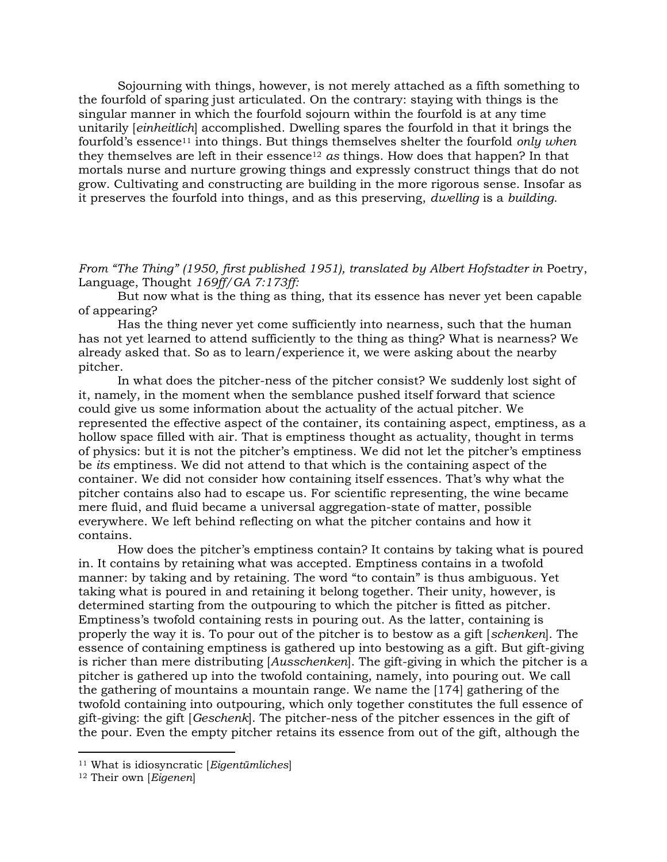Sojourning with things, however, is not merely attached as a fifth something to the fourfold of sparing just articulated. On the contrary: staying with things is the singular manner in which the fourfold sojourn within the fourfold is at any time unitarily [einheitlich] accomplished. Dwelling spares the fourfold in that it brings the fourfold's essence<sup>11</sup> into things. But things themselves shelter the fourfold only when they themselves are left in their essence<sup>12</sup> as things. How does that happen? In that mortals nurse and nurture growing things and expressly construct things that do not grow. Cultivating and constructing are building in the more rigorous sense. Insofar as it preserves the fourfold into things, and as this preserving, dwelling is a building.

From "The Thing" (1950, first published 1951), translated by Albert Hofstadter in Poetry, Language, Thought 169ff/GA 7:173ff:

 But now what is the thing as thing, that its essence has never yet been capable of appearing?

 Has the thing never yet come sufficiently into nearness, such that the human has not yet learned to attend sufficiently to the thing as thing? What is nearness? We already asked that. So as to learn/experience it, we were asking about the nearby pitcher.

 In what does the pitcher-ness of the pitcher consist? We suddenly lost sight of it, namely, in the moment when the semblance pushed itself forward that science could give us some information about the actuality of the actual pitcher. We represented the effective aspect of the container, its containing aspect, emptiness, as a hollow space filled with air. That is emptiness thought as actuality, thought in terms of physics: but it is not the pitcher's emptiness. We did not let the pitcher's emptiness be its emptiness. We did not attend to that which is the containing aspect of the container. We did not consider how containing itself essences. That's why what the pitcher contains also had to escape us. For scientific representing, the wine became mere fluid, and fluid became a universal aggregation-state of matter, possible everywhere. We left behind reflecting on what the pitcher contains and how it contains.

 How does the pitcher's emptiness contain? It contains by taking what is poured in. It contains by retaining what was accepted. Emptiness contains in a twofold manner: by taking and by retaining. The word "to contain" is thus ambiguous. Yet taking what is poured in and retaining it belong together. Their unity, however, is determined starting from the outpouring to which the pitcher is fitted as pitcher. Emptiness's twofold containing rests in pouring out. As the latter, containing is properly the way it is. To pour out of the pitcher is to bestow as a gift [schenken]. The essence of containing emptiness is gathered up into bestowing as a gift. But gift-giving is richer than mere distributing [Ausschenken]. The gift-giving in which the pitcher is a pitcher is gathered up into the twofold containing, namely, into pouring out. We call the gathering of mountains a mountain range. We name the [174] gathering of the twofold containing into outpouring, which only together constitutes the full essence of gift-giving: the gift [Geschenk]. The pitcher-ness of the pitcher essences in the gift of the pour. Even the empty pitcher retains its essence from out of the gift, although the

 $11$  What is idiosyncratic [*Eigentümliches*]

<sup>&</sup>lt;sup>12</sup> Their own [Eigenen]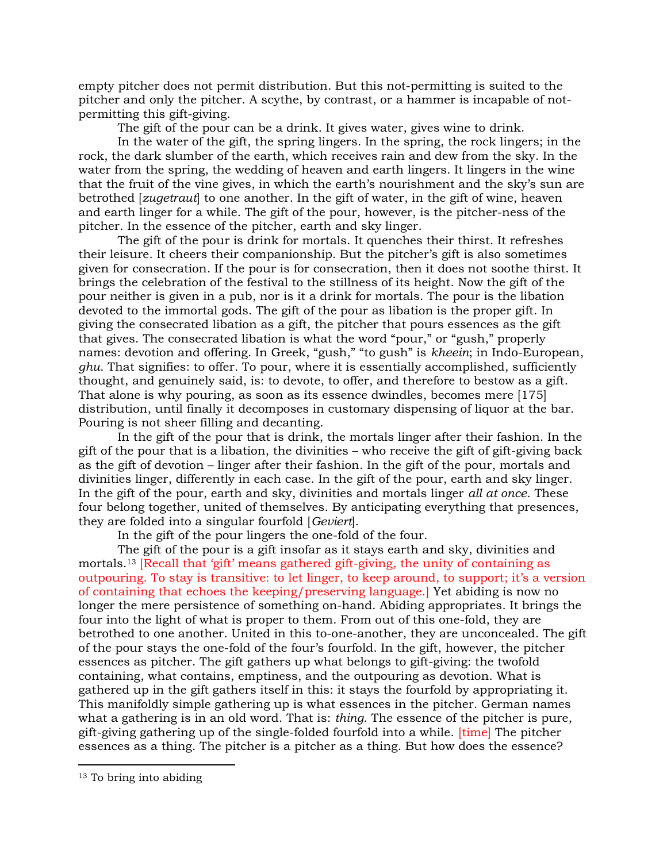empty pitcher does not permit distribution. But this not-permitting is suited to the pitcher and only the pitcher. A scythe, by contrast, or a hammer is incapable of notpermitting this gift-giving.

The gift of the pour can be a drink. It gives water, gives wine to drink.

 In the water of the gift, the spring lingers. In the spring, the rock lingers; in the rock, the dark slumber of the earth, which receives rain and dew from the sky. In the water from the spring, the wedding of heaven and earth lingers. It lingers in the wine that the fruit of the vine gives, in which the earth's nourishment and the sky's sun are betrothed [*zugetraut*] to one another. In the gift of water, in the gift of wine, heaven and earth linger for a while. The gift of the pour, however, is the pitcher-ness of the pitcher. In the essence of the pitcher, earth and sky linger.

 The gift of the pour is drink for mortals. It quenches their thirst. It refreshes their leisure. It cheers their companionship. But the pitcher's gift is also sometimes given for consecration. If the pour is for consecration, then it does not soothe thirst. It brings the celebration of the festival to the stillness of its height. Now the gift of the pour neither is given in a pub, nor is it a drink for mortals. The pour is the libation devoted to the immortal gods. The gift of the pour as libation is the proper gift. In giving the consecrated libation as a gift, the pitcher that pours essences as the gift that gives. The consecrated libation is what the word "pour," or "gush," properly names: devotion and offering. In Greek, "gush," "to gush" is kheein; in Indo-European, ghu. That signifies: to offer. To pour, where it is essentially accomplished, sufficiently thought, and genuinely said, is: to devote, to offer, and therefore to bestow as a gift. That alone is why pouring, as soon as its essence dwindles, becomes mere [175] distribution, until finally it decomposes in customary dispensing of liquor at the bar. Pouring is not sheer filling and decanting.

 In the gift of the pour that is drink, the mortals linger after their fashion. In the gift of the pour that is a libation, the divinities – who receive the gift of gift-giving back as the gift of devotion – linger after their fashion. In the gift of the pour, mortals and divinities linger, differently in each case. In the gift of the pour, earth and sky linger. In the gift of the pour, earth and sky, divinities and mortals linger all at once. These four belong together, united of themselves. By anticipating everything that presences, they are folded into a singular fourfold [Geviert].

In the gift of the pour lingers the one-fold of the four.

 The gift of the pour is a gift insofar as it stays earth and sky, divinities and mortals.<sup>13</sup> [Recall that 'gift' means gathered gift-giving, the unity of containing as outpouring. To stay is transitive: to let linger, to keep around, to support; it's a version of containing that echoes the keeping/preserving language.] Yet abiding is now no longer the mere persistence of something on-hand. Abiding appropriates. It brings the four into the light of what is proper to them. From out of this one-fold, they are betrothed to one another. United in this to-one-another, they are unconcealed. The gift of the pour stays the one-fold of the four's fourfold. In the gift, however, the pitcher essences as pitcher. The gift gathers up what belongs to gift-giving: the twofold containing, what contains, emptiness, and the outpouring as devotion. What is gathered up in the gift gathers itself in this: it stays the fourfold by appropriating it. This manifoldly simple gathering up is what essences in the pitcher. German names what a gathering is in an old word. That is: *thing*. The essence of the pitcher is pure, gift-giving gathering up of the single-folded fourfold into a while. [time] The pitcher essences as a thing. The pitcher is a pitcher as a thing. But how does the essence?

<sup>&</sup>lt;sup>13</sup> To bring into abiding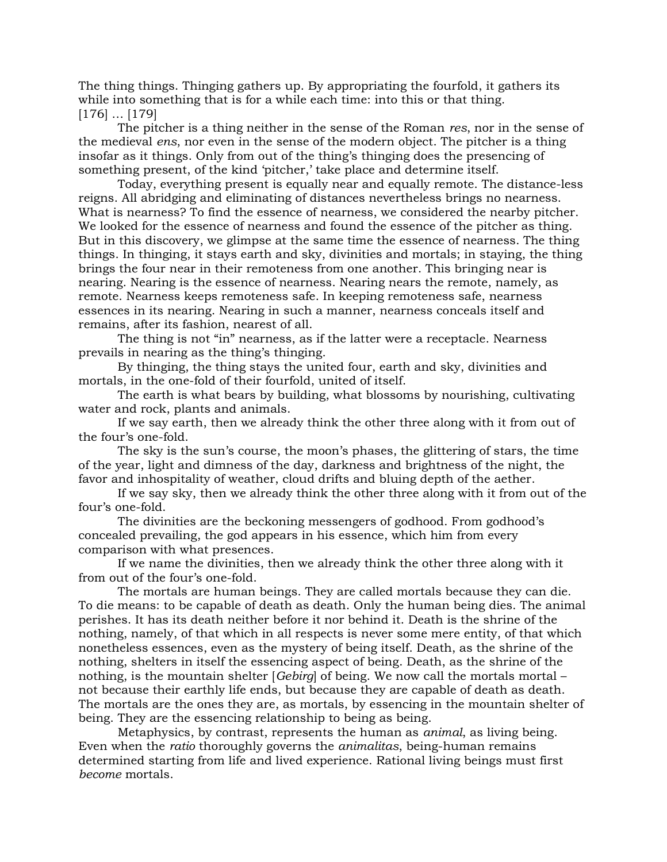The thing things. Thinging gathers up. By appropriating the fourfold, it gathers its while into something that is for a while each time: into this or that thing. [176] … [179]

 The pitcher is a thing neither in the sense of the Roman res, nor in the sense of the medieval ens, nor even in the sense of the modern object. The pitcher is a thing insofar as it things. Only from out of the thing's thinging does the presencing of something present, of the kind 'pitcher,' take place and determine itself.

 Today, everything present is equally near and equally remote. The distance-less reigns. All abridging and eliminating of distances nevertheless brings no nearness. What is nearness? To find the essence of nearness, we considered the nearby pitcher. We looked for the essence of nearness and found the essence of the pitcher as thing. But in this discovery, we glimpse at the same time the essence of nearness. The thing things. In thinging, it stays earth and sky, divinities and mortals; in staying, the thing brings the four near in their remoteness from one another. This bringing near is nearing. Nearing is the essence of nearness. Nearing nears the remote, namely, as remote. Nearness keeps remoteness safe. In keeping remoteness safe, nearness essences in its nearing. Nearing in such a manner, nearness conceals itself and remains, after its fashion, nearest of all.

 The thing is not "in" nearness, as if the latter were a receptacle. Nearness prevails in nearing as the thing's thinging.

 By thinging, the thing stays the united four, earth and sky, divinities and mortals, in the one-fold of their fourfold, united of itself.

 The earth is what bears by building, what blossoms by nourishing, cultivating water and rock, plants and animals.

 If we say earth, then we already think the other three along with it from out of the four's one-fold.

 The sky is the sun's course, the moon's phases, the glittering of stars, the time of the year, light and dimness of the day, darkness and brightness of the night, the favor and inhospitality of weather, cloud drifts and bluing depth of the aether.

 If we say sky, then we already think the other three along with it from out of the four's one-fold.

 The divinities are the beckoning messengers of godhood. From godhood's concealed prevailing, the god appears in his essence, which him from every comparison with what presences.

 If we name the divinities, then we already think the other three along with it from out of the four's one-fold.

 The mortals are human beings. They are called mortals because they can die. To die means: to be capable of death as death. Only the human being dies. The animal perishes. It has its death neither before it nor behind it. Death is the shrine of the nothing, namely, of that which in all respects is never some mere entity, of that which nonetheless essences, even as the mystery of being itself. Death, as the shrine of the nothing, shelters in itself the essencing aspect of being. Death, as the shrine of the nothing, is the mountain shelter [Gebirg] of being. We now call the mortals mortal – not because their earthly life ends, but because they are capable of death as death. The mortals are the ones they are, as mortals, by essencing in the mountain shelter of being. They are the essencing relationship to being as being.

 Metaphysics, by contrast, represents the human as animal, as living being. Even when the ratio thoroughly governs the animalitas, being-human remains determined starting from life and lived experience. Rational living beings must first become mortals.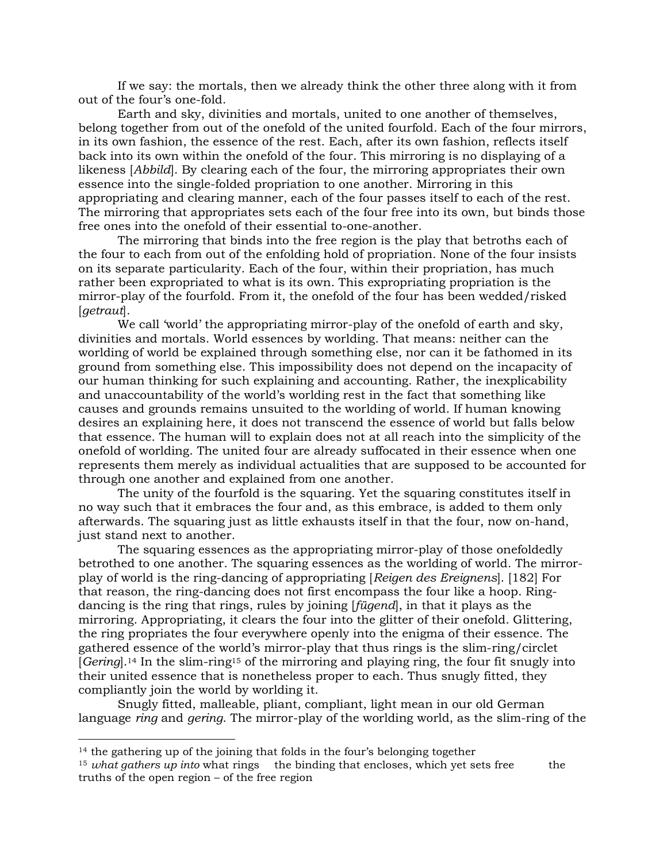If we say: the mortals, then we already think the other three along with it from out of the four's one-fold.

 Earth and sky, divinities and mortals, united to one another of themselves, belong together from out of the onefold of the united fourfold. Each of the four mirrors, in its own fashion, the essence of the rest. Each, after its own fashion, reflects itself back into its own within the onefold of the four. This mirroring is no displaying of a likeness [Abbild]. By clearing each of the four, the mirroring appropriates their own essence into the single-folded propriation to one another. Mirroring in this appropriating and clearing manner, each of the four passes itself to each of the rest. The mirroring that appropriates sets each of the four free into its own, but binds those free ones into the onefold of their essential to-one-another.

 The mirroring that binds into the free region is the play that betroths each of the four to each from out of the enfolding hold of propriation. None of the four insists on its separate particularity. Each of the four, within their propriation, has much rather been expropriated to what is its own. This expropriating propriation is the mirror-play of the fourfold. From it, the onefold of the four has been wedded/risked [getraut].

 We call 'world' the appropriating mirror-play of the onefold of earth and sky, divinities and mortals. World essences by worlding. That means: neither can the worlding of world be explained through something else, nor can it be fathomed in its ground from something else. This impossibility does not depend on the incapacity of our human thinking for such explaining and accounting. Rather, the inexplicability and unaccountability of the world's worlding rest in the fact that something like causes and grounds remains unsuited to the worlding of world. If human knowing desires an explaining here, it does not transcend the essence of world but falls below that essence. The human will to explain does not at all reach into the simplicity of the onefold of worlding. The united four are already suffocated in their essence when one represents them merely as individual actualities that are supposed to be accounted for through one another and explained from one another.

 The unity of the fourfold is the squaring. Yet the squaring constitutes itself in no way such that it embraces the four and, as this embrace, is added to them only afterwards. The squaring just as little exhausts itself in that the four, now on-hand, just stand next to another.

 The squaring essences as the appropriating mirror-play of those onefoldedly betrothed to one another. The squaring essences as the worlding of world. The mirrorplay of world is the ring-dancing of appropriating [Reigen des Ereignens]. [182] For that reason, the ring-dancing does not first encompass the four like a hoop. Ringdancing is the ring that rings, rules by joining [fügend], in that it plays as the mirroring. Appropriating, it clears the four into the glitter of their onefold. Glittering, the ring propriates the four everywhere openly into the enigma of their essence. The gathered essence of the world's mirror-play that thus rings is the slim-ring/circlet [Gering].14 In the slim-ring15 of the mirroring and playing ring, the four fit snugly into their united essence that is nonetheless proper to each. Thus snugly fitted, they compliantly join the world by worlding it.

 Snugly fitted, malleable, pliant, compliant, light mean in our old German language *ring* and *gering*. The mirror-play of the worlding world, as the slim-ring of the

<sup>&</sup>lt;sup>14</sup> the gathering up of the joining that folds in the four's belonging together

<sup>&</sup>lt;sup>15</sup> what gathers up into what rings the binding that encloses, which yet sets free the truths of the open region – of the free region